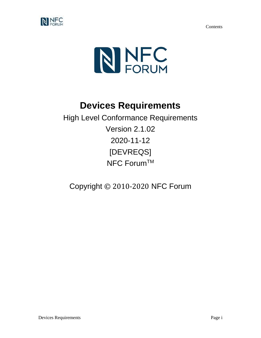Contents





# **Devices Requirements**

High Level Conformance Requirements Version 2.1.02 2020-11-12 [DEVREQS] NFC Forum™

Copyright © 2010-2020 NFC Forum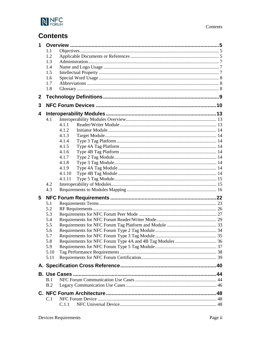

# **Contents**

| 4.1.1<br>4.1.2<br>4.1.3<br>4.1.4<br>4.1.5<br>4.1.6<br>4.1.7<br>4.1.8<br>4.1.9<br>4.1.10<br>4.1.11 |
|---------------------------------------------------------------------------------------------------|
|                                                                                                   |
|                                                                                                   |
|                                                                                                   |
|                                                                                                   |
|                                                                                                   |
|                                                                                                   |
|                                                                                                   |
|                                                                                                   |
|                                                                                                   |
|                                                                                                   |
|                                                                                                   |
|                                                                                                   |
|                                                                                                   |
|                                                                                                   |
|                                                                                                   |
|                                                                                                   |
|                                                                                                   |
|                                                                                                   |
|                                                                                                   |
|                                                                                                   |
|                                                                                                   |
|                                                                                                   |
|                                                                                                   |
|                                                                                                   |
|                                                                                                   |
|                                                                                                   |
|                                                                                                   |
|                                                                                                   |
|                                                                                                   |
|                                                                                                   |
|                                                                                                   |
|                                                                                                   |
|                                                                                                   |
|                                                                                                   |
|                                                                                                   |
|                                                                                                   |
|                                                                                                   |
|                                                                                                   |
|                                                                                                   |
|                                                                                                   |
|                                                                                                   |
|                                                                                                   |
|                                                                                                   |
|                                                                                                   |
|                                                                                                   |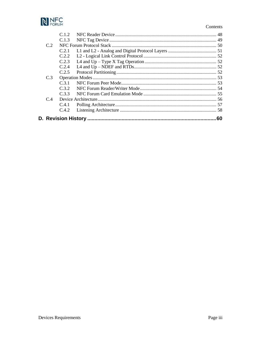

#### Contents

|     |                 | 60 |
|-----|-----------------|----|
|     | C.4.2           |    |
|     | C.4.1           |    |
| C.4 |                 |    |
|     | C.3.3           |    |
|     | C.3.2           |    |
|     | C <sub>31</sub> |    |
| C.3 |                 |    |
|     | C.2.5           |    |
|     | C.2.4           |    |
|     | C.2.3           |    |
|     | C.2.2           |    |
|     | C.2.1           |    |
| C.2 |                 |    |
|     | C.1.3           |    |
|     | C12             |    |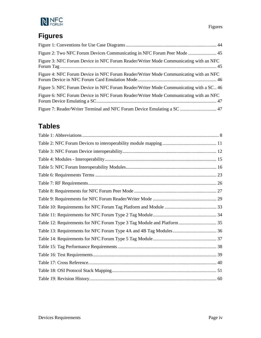

# **Figures**

| Figure 2: Two NFC Forum Devices Communicating in NFC Forum Peer Mode  45              |
|---------------------------------------------------------------------------------------|
| Figure 3: NFC Forum Device in NFC Forum Reader/Writer Mode Communicating with an NFC  |
| Figure 4: NFC Forum Device in NFC Forum Reader/Writer Mode Communicating with an NFC  |
| Figure 5: NFC Forum Device in NFC Forum Reader/Writer Mode Communicating with a SC 46 |
| Figure 6: NFC Forum Device in NFC Forum Reader/Writer Mode Communicating with an NFC  |
| Figure 7: Reader/Writer Terminal and NFC Forum Device Emulating a SC  47              |

# **Tables**

| Table 12: Requirements for NFC Forum Type 3 Tag Module and Platform  35 |  |
|-------------------------------------------------------------------------|--|
|                                                                         |  |
|                                                                         |  |
|                                                                         |  |
|                                                                         |  |
|                                                                         |  |
|                                                                         |  |
|                                                                         |  |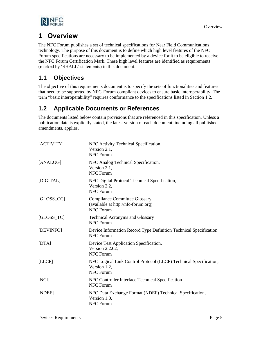

## <span id="page-4-0"></span>**1 Overview**

The NFC Forum publishes a set of technical specifications for Near Field Communications technology. The purpose of this document is to define which high level features of the NFC Forum specifications are necessary to be implemented by a device for it to be eligible to receive the NFC Forum Certification Mark. These high level features are identified as requirements (marked by 'SHALL' statements) in this document.

## <span id="page-4-1"></span>**1.1 Objectives**

The objective of this requirements document is to specify the sets of functionalities and features that need to be supported by NFC-Forum-compliant devices to ensure basic interoperability. The term "basic interoperability" requires conformance to the specifications listed in Section [1.2.](#page-4-2)

## <span id="page-4-2"></span>**1.2 Applicable Documents or References**

The documents listed below contain provisions that are referenced in this specification. Unless a publication date is explicitly stated, the latest version of each document, including all published amendments, applies.

<span id="page-4-12"></span><span id="page-4-11"></span><span id="page-4-10"></span><span id="page-4-9"></span><span id="page-4-8"></span><span id="page-4-7"></span><span id="page-4-6"></span><span id="page-4-5"></span><span id="page-4-4"></span><span id="page-4-3"></span>

| [ACTIVITY]    | NFC Activity Technical Specification,<br>Version 2.1,<br><b>NFC Forum</b>                             |
|---------------|-------------------------------------------------------------------------------------------------------|
| [ANALOG]      | NFC Analog Technical Specification,<br>Version 2.1,<br><b>NFC Forum</b>                               |
| [DIGITAL]     | NFC Digital Protocol Technical Specification,<br>Version 2.2,<br><b>NFC Forum</b>                     |
| $[GLOSS\_CC]$ | <b>Compliance Committee Glossary</b><br>(available at http://nfc-forum.org)<br>NFC Forum              |
| $[GLOSS_TC]$  | <b>Technical Acronyms and Glossary</b><br><b>NFC Forum</b>                                            |
| [DEVINFO]     | Device Information Record Type Definition Technical Specification<br><b>NFC Forum</b>                 |
| [DTA]         | Device Test Application Specification,<br>Version 2.2.02,<br><b>NFC Forum</b>                         |
| [LLCP]        | NFC Logical Link Control Protocol (LLCP) Technical Specification,<br>Version 1.2,<br><b>NFC Forum</b> |
| [NCI]         | NFC Controller Interface Technical Specification<br><b>NFC Forum</b>                                  |
| [NDEF]        | NFC Data Exchange Format (NDEF) Technical Specification,<br>Version 1.0,<br><b>NFC Forum</b>          |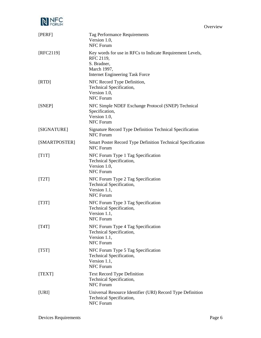

**Overview** 

<span id="page-5-12"></span><span id="page-5-11"></span><span id="page-5-10"></span><span id="page-5-9"></span><span id="page-5-8"></span><span id="page-5-7"></span><span id="page-5-6"></span><span id="page-5-5"></span><span id="page-5-4"></span><span id="page-5-3"></span><span id="page-5-2"></span><span id="page-5-1"></span><span id="page-5-0"></span>

| [PERF]        | Tag Performance Requirements<br>Version 1.0,<br><b>NFC Forum</b>                                                                               |
|---------------|------------------------------------------------------------------------------------------------------------------------------------------------|
| [RFC2119]     | Key words for use in RFCs to Indicate Requirement Levels,<br>RFC 2119,<br>S. Bradner,<br>March 1997,<br><b>Internet Engineering Task Force</b> |
| [RTD]         | NFC Record Type Definition,<br>Technical Specification,<br>Version 1.0,<br><b>NFC Forum</b>                                                    |
| [SNEP]        | NFC Simple NDEF Exchange Protocol (SNEP) Technical<br>Specification,<br>Version 1.0,<br><b>NFC Forum</b>                                       |
| [SIGNATURE]   | Signature Record Type Definition Technical Specification<br><b>NFC Forum</b>                                                                   |
| [SMARTPOSTER] | Smart Poster Record Type Definition Technical Specification<br><b>NFC Forum</b>                                                                |
| [T1T]         | NFC Forum Type 1 Tag Specification<br>Technical Specification,<br>Version 1.0,<br><b>NFC Forum</b>                                             |
| [T2T]         | NFC Forum Type 2 Tag Specification<br>Technical Specification,<br>Version 1.1,<br><b>NFC Forum</b>                                             |
| [T3T]         | NFC Forum Type 3 Tag Specification<br>Technical Specification,<br>Version 1.1,<br><b>NFC Forum</b>                                             |
| [T4T]         | NFC Forum Type 4 Tag Specification<br>Technical Specification,<br>Version 1.1,<br>NFC Forum                                                    |
| [T5T]         | NFC Forum Type 5 Tag Specification<br>Technical Specification,<br>Version 1.1,<br><b>NFC Forum</b>                                             |
| [TEXT]        | <b>Text Record Type Definition</b><br>Technical Specification,<br>NFC Forum                                                                    |
| [URI]         | Universal Resource Identifier (URI) Record Type Definition<br>Technical Specification,<br>NFC Forum                                            |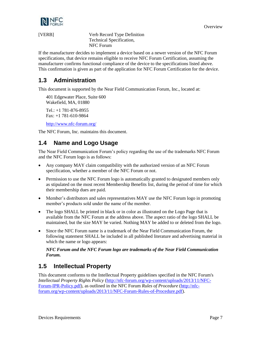

<span id="page-6-3"></span>

[VERB] Verb Record Type Definition Technical Specification, NFC Forum

If the manufacturer decides to implement a device based on a newer version of the NFC Forum specifications, that device remains eligible to receive NFC Forum Certification, assuming the manufacturer confirms functional compliance of the device to the specifications listed above. This confirmation is given as part of the application for NFC Forum Certification for the device.

## <span id="page-6-0"></span>**1.3 Administration**

This document is supported by the Near Field Communication Forum, Inc., located at:

401 Edgewater Place, Suite 600 Wakefield, MA, 01880 Tel.: +1 781-876-8955 Fax: +1 781-610-9864

<http://www.nfc-forum.org/>

The NFC Forum, Inc. maintains this document.

## <span id="page-6-1"></span>**1.4 Name and Logo Usage**

The Near Field Communication Forum's policy regarding the use of the trademarks NFC Forum and the NFC Forum logo is as follows:

- Any company MAY claim compatibility with the authorized version of an NFC Forum specification, whether a member of the NFC Forum or not.
- Permission to use the NFC Forum logo is automatically granted to designated members only as stipulated on the most recent Membership Benefits list, during the period of time for which their membership dues are paid.
- Member's distributors and sales representatives MAY use the NFC Forum logo in promoting member's products sold under the name of the member.
- The logo SHALL be printed in black or in color as illustrated on the Logo Page that is available from the NFC Forum at the address above. The aspect ratio of the logo SHALL be maintained, but the size MAY be varied. Nothing MAY be added to or deleted from the logo.
- Since the NFC Forum name is a trademark of the Near Field Communication Forum, the following statement SHALL be included in all published literature and advertising material in which the name or logo appears:

#### *NFC Forum and the NFC Forum logo are trademarks of the Near Field Communication Forum.*

## <span id="page-6-2"></span>**1.5 Intellectual Property**

This document conforms to the Intellectual Property guidelines specified in the NFC Forum's *Intellectual Property Rights Policy* [\(http://nfc-forum.org/wp-content/uploads/2013/11/NFC-](http://nfc-forum.org/wp-content/uploads/2013/11/NFC-Forum-IPR-Policy.pdf)[Forum-IPR-Policy.pdf\)](http://nfc-forum.org/wp-content/uploads/2013/11/NFC-Forum-IPR-Policy.pdf), as outlined in the NFC Forum *Rules of Procedure* [\(http://nfc](http://nfc-forum.org/wp-content/uploads/2013/11/NFC-Forum-Rules-of-Procedure.pdf)[forum.org/wp-content/uploads/2013/11/NFC-Forum-Rules-of-Procedure.pdf\)](http://nfc-forum.org/wp-content/uploads/2013/11/NFC-Forum-Rules-of-Procedure.pdf).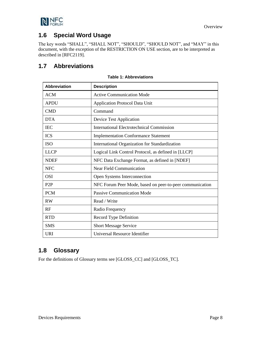

## <span id="page-7-0"></span>**1.6 Special Word Usage**

The key words "SHALL", "SHALL NOT", "SHOULD", "SHOULD NOT", and "MAY" in this document, with the exception of the RESTRICTION ON USE section, are to be interpreted as described in [\[RFC2119\].](#page-5-0)

## <span id="page-7-3"></span><span id="page-7-1"></span>**1.7 Abbreviations**

| <b>Abbreviation</b> | <b>Description</b>                                       |
|---------------------|----------------------------------------------------------|
| <b>ACM</b>          | <b>Active Communication Mode</b>                         |
| <b>APDU</b>         | <b>Application Protocol Data Unit</b>                    |
| <b>CMD</b>          | Command                                                  |
| <b>DTA</b>          | <b>Device Test Application</b>                           |
| <b>IEC</b>          | <b>International Electrotechnical Commission</b>         |
| <b>ICS</b>          | <b>Implementation Conformance Statement</b>              |
| <b>ISO</b>          | International Organization for Standardization           |
| <b>LLCP</b>         | Logical Link Control Protocol, as defined in [LLCP]      |
| <b>NDEF</b>         | NFC Data Exchange Format, as defined in [NDEF]           |
| <b>NFC</b>          | <b>Near Field Communication</b>                          |
| <b>OSI</b>          | Open Systems Interconnection                             |
| P <sub>2</sub> P    | NFC Forum Peer Mode, based on peer-to-peer communication |
| <b>PCM</b>          | <b>Passive Communication Mode</b>                        |
| <b>RW</b>           | Read / Write                                             |
| RF                  | Radio Frequency                                          |
| <b>RTD</b>          | <b>Record Type Definition</b>                            |
| <b>SMS</b>          | <b>Short Message Service</b>                             |
| <b>URI</b>          | Universal Resource Identifier                            |

#### **Table 1: Abbreviations**

## <span id="page-7-2"></span>**1.8 Glossary**

For the definitions of Glossary terms see [\[GLOSS\\_CC\]](#page-4-5) and [\[GLOSS\\_TC\].](#page-4-6)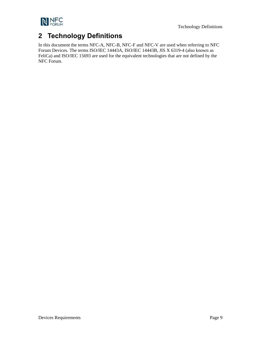

# <span id="page-8-0"></span>**2 Technology Definitions**

In this document the terms NFC-A, NFC-B, NFC-F and NFC-V are used when referring to NFC Forum Devices. The terms ISO/IEC 14443A, ISO/IEC 14443B, JIS X 6319-4 (also known as FeliCa) and ISO/IEC 15693 are used for the equivalent technologies that are not defined by the NFC Forum.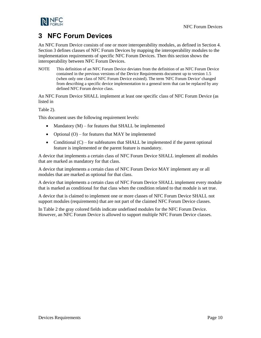

## <span id="page-9-0"></span>**3 NFC Forum Devices**

An NFC Forum Device consists of one or more interoperability modules, as defined in Section [4.](#page-12-0) Sectio[n 3](#page-9-0) defines classes of NFC Forum Devices by mapping the interoperability modules to the implementation requirements of specific NFC Forum Devices. Then this section shows the interoperability between NFC Forum Devices.

NOTE This definition of an NFC Forum Device deviates from the definition of an NFC Forum Device contained in the previous versions of the Device Requirements document up to version 1.5 (when only one class of NFC Forum Device existed). The term 'NFC Forum Device' changed from describing a specific device implementation to a general term that can be replaced by any defined NFC Forum device class.

An NFC Forum Device SHALL implement at least one specific class of NFC Forum Device (as listed in

[Table 2\)](#page-10-1).

This document uses the following requirement levels:

- Mandatory  $(M)$  for features that SHALL be implemented
- Optional  $(O)$  for features that MAY be implemented
- Conditional  $(C)$  for subfeatures that SHALL be implemented if the parent optional feature is implemented or the parent feature is mandatory.

A device that implements a certain class of NFC Forum Device SHALL implement all modules that are marked as mandatory for that class.

A device that implements a certain class of NFC Forum Device MAY implement any or all modules that are marked as optional for that class.

A device that implements a certain class of NFC Forum Device SHALL implement every module that is marked as conditional for that class when the condition related to that module is set true.

A device that is claimed to implement one or more classes of NFC Forum Device SHALL not support modules (requirements) that are not part of the claimed NFC Forum Device classes.

In [Table 2](#page-10-0) the gray colored fields indicate undefined modules for the NFC Forum Device. However, an NFC Forum Device is allowed to support multiple NFC Forum Device classes.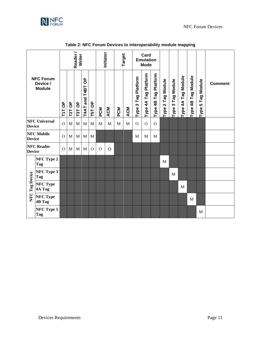<span id="page-10-1"></span>

<span id="page-10-0"></span>

|                                    |                                               |                        |              | Reader /<br>Writer |                           |              |          | Initiator  |           | Target     |                                         | Card<br><b>Emulation</b><br><b>Mode</b> |                         |                   |                      |                    |                    |                                       |                |
|------------------------------------|-----------------------------------------------|------------------------|--------------|--------------------|---------------------------|--------------|----------|------------|-----------|------------|-----------------------------------------|-----------------------------------------|-------------------------|-------------------|----------------------|--------------------|--------------------|---------------------------------------|----------------|
|                                    | <b>NFC Forum</b><br>Device /<br><b>Module</b> | $\sigma$<br><b>T1T</b> | T2T OP       | T3T OP             | $\sigma$<br>T4AT and T4BT | T5T OP       | PCM      | <b>ACM</b> | <b>NO</b> | <b>ACM</b> | Platform<br>Tag <sup>1</sup><br>Type 3. | Platform<br>Tag<br>Type 4A              | Tag Platform<br>Type 4B | Type 2 Tag Module | Tag Module<br>Type 3 | Type 4A Tag Module | Type 4B Tag Module | Tag Module<br>$\overline{5}$<br>Type; | <b>Comment</b> |
| <b>Device</b>                      | <b>NFC Universal</b>                          | $\mathbf{O}$           | M            | $\mathbf M$        | $\mathbf M$               | $\mathbf{M}$ | M        | M          | M         | M          | $\Omega$                                | $\Omega$                                | $\Omega$                |                   |                      |                    |                    |                                       |                |
| <b>NFC Mobile</b><br><b>Device</b> |                                               | $\overline{O}$         | $\mathbf{M}$ | $\mathbf M$        | M                         | $\mathbf M$  |          |            |           |            | M                                       | M                                       | M                       |                   |                      |                    |                    |                                       |                |
| <b>NFC Reader</b><br><b>Device</b> |                                               | $\Omega$               | M            | M                  | M                         | $\Omega$     | $\Omega$ | $\Omega$   |           |            |                                         |                                         |                         |                   |                      |                    |                    |                                       |                |
|                                    | NFC Type 2<br><b>Tag</b>                      |                        |              |                    |                           |              |          |            |           |            |                                         |                                         |                         | M                 |                      |                    |                    |                                       |                |
| Tag Device                         | NFC Type 3<br><b>Tag</b>                      |                        |              |                    |                           |              |          |            |           |            |                                         |                                         |                         |                   | M                    |                    |                    |                                       |                |
|                                    | <b>NFC Type</b><br>4A Tag                     |                        |              |                    |                           |              |          |            |           |            |                                         |                                         |                         |                   |                      | $\mathbf{M}$       |                    |                                       |                |
| <b>NFC</b>                         | <b>NFC Type</b><br><b>4B Tag</b>              |                        |              |                    |                           |              |          |            |           |            |                                         |                                         |                         |                   |                      |                    | M                  |                                       |                |
|                                    | NFC Type 5<br>Tag                             |                        |              |                    |                           |              |          |            |           |            |                                         |                                         |                         |                   |                      |                    |                    | M                                     |                |

**Table 2: NFC Forum Devices to interoperability module mapping**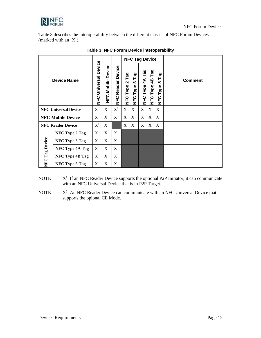

Table 3 describes the interoperability between the different classes of NFC Forum Devices [\(marked](#page-11-0) with an 'X').

<span id="page-11-0"></span>

|                          |                             |                                      |                             |                          |                | <b>NFC Tag Device</b>          |                           |                 |                                |                |
|--------------------------|-----------------------------|--------------------------------------|-----------------------------|--------------------------|----------------|--------------------------------|---------------------------|-----------------|--------------------------------|----------------|
|                          | <b>Device Name</b>          | Device<br><b>Universal</b><br>인<br>보 | Device<br>Mobile<br>C<br>EΣ | Reader Device<br>C<br>EΣ | NFC Type 2 Tag | Tag<br>w<br>Type<br><b>UPD</b> | Tag<br><b>NFC Type 4A</b> | NFC Type 4B Tag | Tag<br>5<br>Type<br><b>UPD</b> | <b>Comment</b> |
|                          | <b>NFC Universal Device</b> | X                                    | X                           | $\mathbf{X}^1$           | X              | X                              | X                         | X               | X                              |                |
| <b>NFC Mobile Device</b> | X                           | X                                    | X                           | X                        | X              | X                              | X                         | X               |                                |                |
| <b>NFC Reader Device</b> | $X^2$                       | X                                    |                             | X                        | X              | X                              | X                         | X               |                                |                |
|                          | NFC Type 2 Tag              | X                                    | X                           | X                        |                |                                |                           |                 |                                |                |
|                          | <b>NFC Type 3 Tag</b>       | X                                    | X                           | X                        |                |                                |                           |                 |                                |                |
| NFC Tag Device           | NFC Type 4A Tag             | X                                    | X                           | X                        |                |                                |                           |                 |                                |                |
|                          | <b>NFC Type 4B Tag</b>      | X                                    | X                           | X                        |                |                                |                           |                 |                                |                |
|                          | NFC Type 5 Tag              | X                                    | X                           | X                        |                |                                |                           |                 |                                |                |

| Table 3: NFC Forum Device interoperability |
|--------------------------------------------|
|--------------------------------------------|

**NOTE** : If an NFC Reader Device supports the optional P2P Initiator, it can communicate with an NFC Universal Device that is in P2P Target.

**NOTE** : An NFC Reader Device can communicate with an NFC Universal Device that supports the opional CE Mode.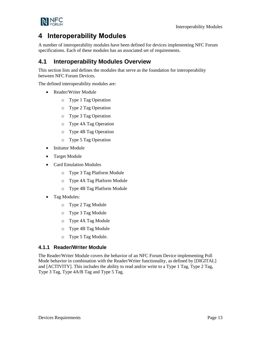

<span id="page-12-0"></span>A number of interoperability modules have been defined for devices implementing NFC Forum specifications. Each of these modules has an associated set of requirements.

## <span id="page-12-1"></span>**4.1 Interoperability Modules Overview**

This section lists and defines the modules that serve as the foundation for interoperability between NFC Forum Devices.

The defined interoperability modules are:

- Reader/Writer Module
	- o Type 1 Tag Operation
	- o Type 2 Tag Operation
	- o Type 3 Tag Operation
	- o Type 4A Tag Operation
	- o Type 4B Tag Operation
	- o Type 5 Tag Operation
- Initiator Module
- Target Module
- Card Emulation Modules
	- o Type 3 Tag Platform Module
	- o Type 4A Tag Platform Module
	- o Type 4B Tag Platform Module
- Tag Modules:
	- o Type 2 Tag Module
	- o Type 3 Tag Module
	- o Type 4A Tag Module
	- o Type 4B Tag Module
	- o Type 5 Tag Module.

#### <span id="page-12-2"></span>**4.1.1 Reader/Writer Module**

The Reader/Writer Module covers the behavior of an NFC Forum Device implementing Poll Mode behavior in combination with the Reader/Writer functionality, as defined by [\[DIGITAL\]](#page-4-7) and [\[ACTIVITY\].](#page-4-8) This includes the ability to read and/or write to a Type 1 Tag, Type 2 Tag, Type 3 Tag, Type 4A/B Tag and Type 5 Tag.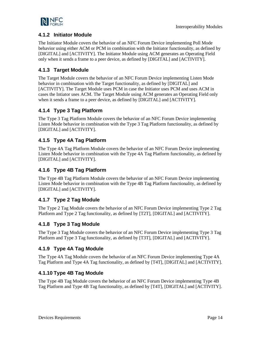

### <span id="page-13-0"></span>**4.1.2 Initiator Module**

The Initiator Module covers the behavior of an NFC Forum Device implementing Poll Mode behavior using either ACM or PCM in combination with the Initiator functionality, as defined by [\[DIGITAL\]](#page-4-7) and [\[ACTIVITY\].](#page-4-8) The Initiator Module using ACM generates an Operating Field only when it sends a frame to a peer device, as defined by [\[DIGITAL\]](#page-4-7) and [\[ACTIVITY\].](#page-4-8)

## <span id="page-13-1"></span>**4.1.3 Target Module**

The Target Module covers the behavior of an NFC Forum Device implementing Listen Mode behavior in combination with the Target functionality, as defined by [\[DIGITAL\]](#page-4-7) and [\[ACTIVITY\].](#page-4-8) The Target Module uses PCM in case the Initiator uses PCM and uses ACM in cases the Intiator uses ACM. The Target Module using ACM generates an Operating Field only when it sends a frame to a peer device, as defined by [\[DIGITAL\]](#page-4-7) and [\[ACTIVITY\].](#page-4-8)

### <span id="page-13-2"></span>**4.1.4 Type 3 Tag Platform**

The Type 3 Tag Platform Module covers the behavior of an NFC Forum Device implementing Listen Mode behavior in combination with the Type 3 Tag Platform functionality, as defined by [\[DIGITAL\]](#page-4-7) and [\[ACTIVITY\].](#page-4-8)

### <span id="page-13-3"></span>**4.1.5 Type 4A Tag Platform**

The Type 4A Tag Platform Module covers the behavior of an NFC Forum Device implementing Listen Mode behavior in combination with the Type 4A Tag Platform functionality, as defined by [\[DIGITAL\]](#page-4-7) and [\[ACTIVITY\].](#page-4-8)

### <span id="page-13-4"></span>**4.1.6 Type 4B Tag Platform**

The Type 4B Tag Platform Module covers the behavior of an NFC Forum Device implementing Listen Mode behavior in combination with the Type 4B Tag Platform functionality, as defined by [\[DIGITAL\]](#page-4-7) and [\[ACTIVITY\].](#page-4-8)

## <span id="page-13-5"></span>**4.1.7 Type 2 Tag Module**

The Type 2 Tag Module covers the behavior of an NFC Forum Device implementing Type 2 Tag Platform and Type 2 Tag functionality, as defined by [\[T2T\],](#page-5-1) [\[DIGITAL\]](#page-4-7) and [\[ACTIVITY\].](#page-4-8)

### <span id="page-13-6"></span>**4.1.8 Type 3 Tag Module**

The Type 3 Tag Module covers the behavior of an NFC Forum Device implementing Type 3 Tag Platform and Type 3 Tag functionality, as defined by [\[T3T\],](#page-5-2) [\[DIGITAL\]](#page-4-7) and [\[ACTIVITY\].](#page-4-8)

## <span id="page-13-7"></span>**4.1.9 Type 4A Tag Module**

The Type 4A Tag Module covers the behavior of an NFC Forum Device implementing Type 4A Tag Platform and Type 4A Tag functionality, as defined by [\[T4T\],](#page-5-3) [\[DIGITAL\]](#page-4-7) and [\[ACTIVITY\].](#page-4-8)

## <span id="page-13-8"></span>**4.1.10 Type 4B Tag Module**

The Type 4B Tag Module covers the behavior of an NFC Forum Device implementing Type 4B Tag Platform and Type 4B Tag functionality, as defined b[y \[T4T\],](#page-5-3) [\[DIGITAL\]](#page-4-7) and [ACTIVITY].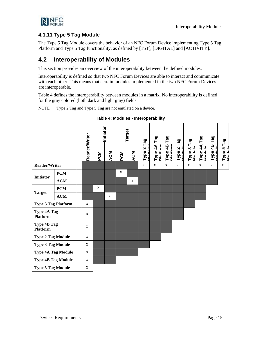

### <span id="page-14-0"></span>**4.1.11 Type 5 Tag Module**

The Type 5 Tag Module covers the behavior of an NFC Forum Device implementing Type 5 Tag Platform and Type 5 Tag functionality, as defined by [\[T5T\],](#page-5-4) [\[DIGITAL\]](#page-4-7) and [\[ACTIVITY\].](#page-4-8)

## <span id="page-14-1"></span>**4.2 Interoperability of Modules**

This section provides an overview of the interoperability between the defined modules.

Interoperability is defined so that two NFC Forum Devices are able to interact and communicate with each other. This means that certain modules implemented in the two NFC Forum Devices are interoperable.

[Table 4](#page-14-2) defines the interoperability between modules in a matrix. No interoperability is defined for the gray colored (both dark and light gray) fields.

<span id="page-14-2"></span>NOTE Type 2 Tag and Type 5 Tag are not emulated on a device.

|                                       |                           |                      |              | Initiator |             | Target     | Tag                            |                                |                         | Tag    | Tag      | Tag                        | gg<br>⊢                   |                                       |
|---------------------------------------|---------------------------|----------------------|--------------|-----------|-------------|------------|--------------------------------|--------------------------------|-------------------------|--------|----------|----------------------------|---------------------------|---------------------------------------|
|                                       |                           | <b>Reader/Writer</b> | <b>PCM</b>   | ACM       | <b>PCM</b>  | <b>ACM</b> | Type 3<br>یون<br>علما <b>ت</b> | Type 4A Tag<br><b>Diatform</b> | Type 4B Tag<br>Diatform | Type 2 | S<br>ype | $\tilde{4}$<br><b>Type</b> | Type 4B<br>Aniho<br>שני ה | Tag<br>Type 5 <sup>-</sup><br>ملىنلەم |
| Reader/Writer                         |                           |                      |              |           |             |            | X                              | X                              | $\mathbf X$             | X      | X        | X                          | X                         | X                                     |
|                                       | <b>PCM</b>                |                      |              |           | $\mathbf X$ |            |                                |                                |                         |        |          |                            |                           |                                       |
| <b>Initiator</b>                      | ACM                       |                      |              |           |             | X          |                                |                                |                         |        |          |                            |                           |                                       |
|                                       | <b>PCM</b>                |                      | $\mathbf{x}$ |           |             |            |                                |                                |                         |        |          |                            |                           |                                       |
| <b>Target</b>                         | ACM                       |                      |              | X         |             |            |                                |                                |                         |        |          |                            |                           |                                       |
| <b>Type 3 Tag Platform</b>            |                           | X                    |              |           |             |            |                                |                                |                         |        |          |                            |                           |                                       |
| <b>Type 4A Tag</b><br><b>Platform</b> |                           | X                    |              |           |             |            |                                |                                |                         |        |          |                            |                           |                                       |
| Type 4B Tag<br><b>Platform</b>        |                           | X                    |              |           |             |            |                                |                                |                         |        |          |                            |                           |                                       |
| <b>Type 2 Tag Module</b>              |                           | X                    |              |           |             |            |                                |                                |                         |        |          |                            |                           |                                       |
| <b>Type 3 Tag Module</b>              |                           | X                    |              |           |             |            |                                |                                |                         |        |          |                            |                           |                                       |
|                                       | <b>Type 4A Tag Module</b> | X                    |              |           |             |            |                                |                                |                         |        |          |                            |                           |                                       |
|                                       | <b>Type 4B Tag Module</b> | X                    |              |           |             |            |                                |                                |                         |        |          |                            |                           |                                       |
| <b>Type 5 Tag Module</b>              |                           | $\mathbf X$          |              |           |             |            |                                |                                |                         |        |          |                            |                           |                                       |

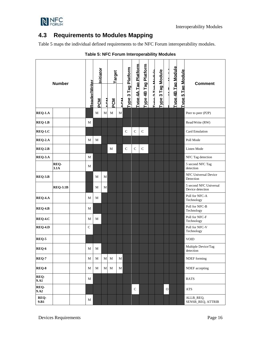

## <span id="page-15-0"></span>**4.3 Requirements to Modules Mapping**

<span id="page-15-1"></span>[Table 5](#page-15-1) maps the individual defined requirements to the NFC Forum interoperability modules.

|                            | <b>Number</b>   |                      | Initiator  |            | Target |             |                     |                      |                      |                          |                   |              |                           |                   | <b>Comment</b>                             |
|----------------------------|-----------------|----------------------|------------|------------|--------|-------------|---------------------|----------------------|----------------------|--------------------------|-------------------|--------------|---------------------------|-------------------|--------------------------------------------|
|                            |                 | <b>Reader/Writer</b> | <b>PCM</b> | <b>ACM</b> | PCM    | <b>ACM</b>  | Type 3 Tag Platform | Tvpe 4A Tag Platform | Type 4B Tag Platform | <b>Tung 3 Tag Modulo</b> | Type 3 Tag Module |              | <b>Type 4B Tag Module</b> | Type 5 Tag Module |                                            |
| <b>REQ-1.A</b>             |                 |                      | М          | M          | M      | $\mathbf M$ |                     |                      |                      |                          |                   |              |                           |                   | Peer to peer (P2P)                         |
| <b>REQ-1.B</b>             |                 | M                    |            |            |        |             |                     |                      |                      |                          |                   |              |                           |                   | Read/Write (RW)                            |
| $REQ-1.C$                  |                 |                      |            |            |        |             | $\mathbf C$         | $\mathsf{C}$         | $\mathsf{C}$         |                          |                   |              |                           |                   | Card Emulation                             |
| <b>REQ-2.A</b>             |                 | M                    | M          |            |        |             |                     |                      |                      |                          |                   |              |                           |                   | Poll Mode                                  |
| $REQ-2.B$                  |                 |                      |            |            | M      |             | $\mathsf{C}$        | $\mathsf{C}$         | $\mathsf{C}$         |                          |                   |              |                           |                   | Listen Mode                                |
| REQ-3.A                    |                 | М                    |            |            |        |             |                     |                      |                      |                          |                   |              |                           |                   | NFC Tag detection                          |
|                            | REQ-<br>3.1A    | M                    |            |            |        |             |                     |                      |                      |                          |                   |              |                           |                   | 5 second NFC Tag<br>detection              |
| REQ-3.B                    |                 |                      | M          | M          |        |             |                     |                      |                      |                          |                   |              |                           |                   | NFC Universal Device<br>Detection          |
|                            | <b>REQ-3.1B</b> |                      | M          | M          |        |             |                     |                      |                      |                          |                   |              |                           |                   | 5 second NFC Universal<br>Device detection |
| REQ-4.A                    |                 | М                    | M          |            |        |             |                     |                      |                      |                          |                   |              |                           |                   | Poll for NFC-A<br>Technology               |
| $REQ-4.B$                  |                 | M                    |            |            |        |             |                     |                      |                      |                          |                   |              |                           |                   | Poll for NFC-B<br>Technology               |
| <b>REQ-4.C</b>             |                 | M                    | M          |            |        |             |                     |                      |                      |                          |                   |              |                           |                   | Poll for NFC-F<br>Technology               |
| <b>REQ-4.D</b>             |                 | $\mathsf{C}$         |            |            |        |             |                     |                      |                      |                          |                   |              |                           |                   | Poll for NFC-V<br>Technology               |
| REQ-5                      |                 |                      |            |            |        |             |                     |                      |                      |                          |                   |              |                           |                   | <b>VOID</b>                                |
| REQ-6                      |                 | М                    | M          |            |        |             |                     |                      |                      |                          |                   |              |                           |                   | Multiple Device/Tag<br>detection           |
| <b>REQ-7</b>               |                 | M                    | M          | M          | M      | $\mathbf M$ |                     |                      |                      |                          |                   |              |                           |                   | NDEF forming                               |
| REQ-8                      |                 | М                    | M          | M          | M      | $\mathbf M$ |                     |                      |                      |                          |                   |              |                           |                   | NDEF accepting                             |
| REQ-<br>$9. \overline{A1}$ |                 | М                    |            |            |        |             |                     |                      |                      |                          |                   |              |                           |                   | <b>RATS</b>                                |
| REQ-<br>9.A2               |                 |                      |            |            |        |             |                     | $\mathsf{C}$         |                      |                          |                   | $\mathbf{O}$ |                           |                   | <b>ATS</b>                                 |
| REQ-<br>9.B1               |                 | M                    |            |            |        |             |                     |                      |                      |                          |                   |              |                           |                   | ALLB_REQ,<br>SENSB_REQ, ATTRIB             |

#### **Table 5: NFC Forum Interoperability Modules**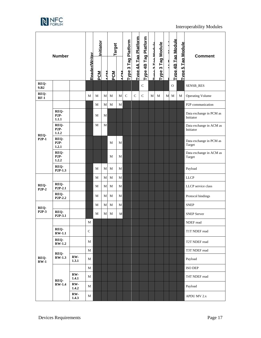

| <b>Number</b>        |                              |              | Initiator     |            | Target |     |             |                     |                      |                      | <b>Tag Module</b> |            |   |                           | <b>Comment</b>           |                                      |
|----------------------|------------------------------|--------------|---------------|------------|--------|-----|-------------|---------------------|----------------------|----------------------|-------------------|------------|---|---------------------------|--------------------------|--------------------------------------|
|                      |                              |              | Reader/Writer | <b>PCM</b> | A OM   | PCM | <b>ACM</b>  | Type 3 Tag Platform | Tvpe 4A Tag Platform | Type 4B Tag Platform | Tung 2 Tag Medula | ო<br>Type: |   | <b>Type 4B Tag Module</b> | <b>Type 5 Tag Module</b> |                                      |
| REQ-<br>9.B2         |                              |              |               |            |        |     |             |                     |                      | $\mathsf{C}$         |                   |            |   | $\Omega$                  |                          | SENSB_RES                            |
| REQ-<br>$RF-1$       |                              |              | M             | M          | M      | M   | M           | $\mathbf C$         | $\mathsf{C}$         | $\mathsf{C}$         | M                 | M          | М | M                         | М                        | <b>Operating Volume</b>              |
|                      |                              |              |               | М          | М      | M   | M           |                     |                      |                      |                   |            |   |                           |                          | P2P communication                    |
|                      | REQ-<br>$P2P-$<br>1.1.1      |              |               | M          | М      |     |             |                     |                      |                      |                   |            |   |                           |                          | Data exchange in PCM as<br>Initiator |
|                      | REQ-<br><b>P2P-</b><br>1.1.2 |              |               | М          | M      |     |             |                     |                      |                      |                   |            |   |                           |                          | Data exchange in ACM as<br>Initiator |
| REQ-<br><b>P2P-1</b> | REQ-<br>$P2P-$<br>1.2.1      |              |               |            |        | M   | M           |                     |                      |                      |                   |            |   |                           |                          | Data exchange in PCM as<br>Target    |
|                      | REQ-<br>$P2P-$<br>1.2.2      |              |               |            |        | M   | М           |                     |                      |                      |                   |            |   |                           |                          | Data exchange in ACM as<br>Target    |
|                      | REQ-<br>P <sub>2P-1.3</sub>  |              |               | M          | М      | M   | $\mathbf M$ |                     |                      |                      |                   |            |   |                           |                          | Payload                              |
|                      |                              |              |               | М          | М      | M   | М           |                     |                      |                      |                   |            |   |                           |                          | <b>LLCP</b>                          |
| REQ-<br>$P2P-2$      | REQ-<br>P <sub>2P</sub> -2.1 |              |               | M          | M      | M   | M           |                     |                      |                      |                   |            |   |                           |                          | LLCP service class                   |
|                      | REQ-<br>P <sub>2P-2.2</sub>  |              |               | М          | М      | M   | M           |                     |                      |                      |                   |            |   |                           |                          | Protocol bindings                    |
| REQ-                 |                              |              |               | М          | M      | M   | $\mathbf M$ |                     |                      |                      |                   |            |   |                           |                          | <b>SNEP</b>                          |
| P <sub>2P-3</sub>    | REQ-<br>P <sub>2P</sub> -3.1 |              |               | M          | М      | M   | M           |                     |                      |                      |                   |            |   |                           |                          | <b>SNEP Server</b>                   |
|                      |                              |              | М             |            |        |     |             |                     |                      |                      |                   |            |   |                           |                          | NDEF read                            |
|                      | REO-<br>$RW-1.1$             |              | $\mathsf{C}$  |            |        |     |             |                     |                      |                      |                   |            |   |                           |                          | T1T NDEF read                        |
|                      | REO-<br><b>RW-1.2</b>        |              | M             |            |        |     |             |                     |                      |                      |                   |            |   |                           |                          | T2T NDEF read                        |
|                      |                              |              | M             |            |        |     |             |                     |                      |                      |                   |            |   |                           |                          | T3T NDEF read                        |
| REQ-<br>$RW-1$       | REQ-<br><b>RW-1.3</b>        | RW-<br>1.3.1 | М             |            |        |     |             |                     |                      |                      |                   |            |   |                           |                          | Payload                              |
|                      |                              |              | M             |            |        |     |             |                     |                      |                      |                   |            |   |                           |                          | <b>ISO DEP</b>                       |
|                      | REQ-                         | RW-<br>1.4.1 | M             |            |        |     |             |                     |                      |                      |                   |            |   |                           |                          | T4T NDEF read                        |
|                      | <b>RW-1.4</b>                | RW-<br>1.4.2 | M             |            |        |     |             |                     |                      |                      |                   |            |   |                           |                          | Payload                              |
|                      |                              | RW-<br>1.4.3 | М             |            |        |     |             |                     |                      |                      |                   |            |   |                           |                          | APDU MV 2.x                          |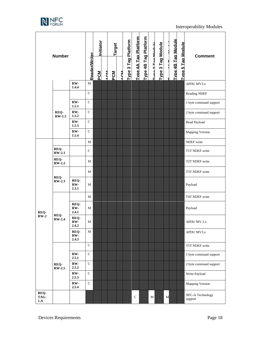

| <b>Number</b>       |                       |                        | Initiator            |           | Target |            |            |                            |                      |                      | Tag Module        |        |   |                           | <b>Comment</b>           |                             |
|---------------------|-----------------------|------------------------|----------------------|-----------|--------|------------|------------|----------------------------|----------------------|----------------------|-------------------|--------|---|---------------------------|--------------------------|-----------------------------|
|                     |                       |                        | <b>Reader/Writer</b> | <b>NO</b> | ACM    | <b>PCM</b> | <b>ACM</b> | <b>Type 3 Tag Platform</b> | Tvne 4A Tag Platform | Type 4B Tag Platform | Tung 3 Tag Madula | Type 3 |   | <b>Type 4B Tag Module</b> | <b>Type 5 Tag Module</b> |                             |
|                     |                       | RW-<br>1.4.4           | M                    |           |        |            |            |                            |                      |                      |                   |        |   |                           |                          | APDU MV3.x                  |
|                     |                       |                        | $\mathcal{C}$        |           |        |            |            |                            |                      |                      |                   |        |   |                           |                          | Reading NDEF                |
|                     |                       | RW-<br>1.5.1           | $\mathcal{C}$        |           |        |            |            |                            |                      |                      |                   |        |   |                           |                          | 1 byte command support      |
|                     | REQ-<br>$RW-1.5$      | RW-<br>1.5.2           | $\mathsf{C}$         |           |        |            |            |                            |                      |                      |                   |        |   |                           |                          | 2 byte command support      |
|                     |                       | RW-<br>1.5.3           | $\mathcal{C}$        |           |        |            |            |                            |                      |                      |                   |        |   |                           |                          | Read Payload                |
|                     |                       | RW-<br>1.5.4           | $\mathcal{C}$        |           |        |            |            |                            |                      |                      |                   |        |   |                           |                          | Mapping Version             |
|                     |                       |                        | M                    |           |        |            |            |                            |                      |                      |                   |        |   |                           |                          | NDEF write                  |
|                     | REQ-<br>$RW-2.1$      |                        | $\mathsf{C}$         |           |        |            |            |                            |                      |                      |                   |        |   |                           |                          | T1T NDEF write              |
|                     | REQ-<br><b>RW-2.2</b> |                        | M                    |           |        |            |            |                            |                      |                      |                   |        |   |                           |                          | T2T NDEF write              |
|                     |                       |                        | M                    |           |        |            |            |                            |                      |                      |                   |        |   |                           |                          | T3T NDEF write              |
|                     | REQ-<br><b>RW-2.3</b> | REQ-<br>RW-<br>2.3.1   | M                    |           |        |            |            |                            |                      |                      |                   |        |   |                           |                          | Payload                     |
|                     |                       |                        | M                    |           |        |            |            |                            |                      |                      |                   |        |   |                           |                          | T4T NDEF write              |
| REQ-                | REO-                  | REQ-<br>RW-<br>2.4.1   | M                    |           |        |            |            |                            |                      |                      |                   |        |   |                           |                          | Payload                     |
| $RW-2$              | $RW-2.4$              | REQ-<br>$RW-$<br>2.4.2 | M                    |           |        |            |            |                            |                      |                      |                   |        |   |                           |                          | APDU MV 2.x                 |
|                     |                       | REO-<br>RW-<br>2.4.3   | M                    |           |        |            |            |                            |                      |                      |                   |        |   |                           |                          | APDU MV3.x                  |
|                     |                       |                        | $\mathbf C$          |           |        |            |            |                            |                      |                      |                   |        |   |                           |                          | T5T NDEF write              |
|                     |                       | RW-<br>2.5.1           | $\mathbf C$          |           |        |            |            |                            |                      |                      |                   |        |   |                           |                          | 1 byte command support      |
|                     | REQ-<br>$RW-2.5$      | RW-<br>2.5.2           | $\mathsf{C}$         |           |        |            |            |                            |                      |                      |                   |        |   |                           |                          | 2 byte command support      |
|                     |                       | RW-<br>2.5.3           | $\mathbf C$          |           |        |            |            |                            |                      |                      |                   |        |   |                           |                          | Write Payload               |
|                     |                       | RW-<br>2.5.4           | $\mathsf{C}$         |           |        |            |            |                            |                      |                      |                   |        |   |                           |                          | <b>Mapping Version</b>      |
| REQ-<br>TAG-<br>1.A |                       |                        |                      |           |        |            |            |                            | $\mathsf{C}$         |                      | $\mathbf M$       |        | M |                           |                          | NFC-A Technology<br>support |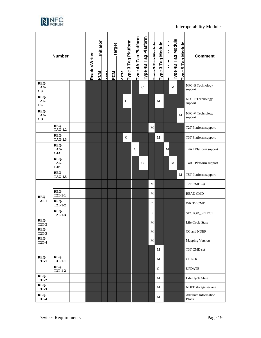

| <b>Number</b>        |                        |                      | Initiator |            | Target |  |            |                                             |                      |                   | Tag Module   |   |                           |                          | <b>Comment</b> |                                       |
|----------------------|------------------------|----------------------|-----------|------------|--------|--|------------|---------------------------------------------|----------------------|-------------------|--------------|---|---------------------------|--------------------------|----------------|---------------------------------------|
|                      |                        | <b>Reader/Writer</b> | PCM       | <b>MON</b> | PCM    |  | <b>ACM</b> | Tvpe 4A Tag Platform<br>Type 3 Tag Platform | Type 4B Tag Platform | Tung 2 Tag Madula | ო<br>Type:   |   | <b>Type 4B Tag Module</b> | <b>Type 5 Tag Module</b> |                |                                       |
| REQ-<br>TAG-<br>1.B  |                        |                      |           |            |        |  |            |                                             |                      | $\mathcal{C}$     |              |   |                           | M                        |                | NFC-B Technology<br>support           |
| REQ-<br>TAG-<br>1.C  |                        |                      |           |            |        |  |            | $\mathsf{C}$                                |                      |                   |              | M |                           |                          |                | NFC-F Technology<br>support           |
| REQ-<br>TAG-<br>1.D  |                        |                      |           |            |        |  |            |                                             |                      |                   |              |   |                           |                          | М              | NFC-V Technology<br>support           |
|                      | REQ-<br><b>TAG-1.2</b> |                      |           |            |        |  |            |                                             |                      |                   | M            |   |                           |                          |                | T2T Platform support                  |
|                      | REQ-<br><b>TAG-1.3</b> |                      |           |            |        |  |            | $\mathbf C$                                 |                      |                   |              | M |                           |                          |                | T3T Platform support                  |
|                      | REQ-<br>TAG-<br>1.4A   |                      |           |            |        |  |            |                                             | $\mathbf C$          |                   |              |   | M                         |                          |                | T4AT Platform support                 |
|                      | REQ-<br>TAG-<br>1.4B   |                      |           |            |        |  |            |                                             |                      | $\mathsf{C}$      |              |   |                           | M                        |                | T4BT Platform support                 |
|                      | REQ-<br><b>TAG-1.5</b> |                      |           |            |        |  |            |                                             |                      |                   |              |   |                           |                          | М              | T5T Platform support                  |
|                      |                        |                      |           |            |        |  |            |                                             |                      |                   | M            |   |                           |                          |                | T2T CMD set                           |
| REQ-                 | REQ-<br>$T2T-1-1$      |                      |           |            |        |  |            |                                             |                      |                   | М            |   |                           |                          |                | <b>READ CMD</b>                       |
| <b>T2T-1</b>         | REQ-<br><b>T2T-1-2</b> |                      |           |            |        |  |            |                                             |                      |                   | $\mathsf{C}$ |   |                           |                          |                | <b>WRITE CMD</b>                      |
|                      | REQ-<br><b>T2T-1-3</b> |                      |           |            |        |  |            |                                             |                      |                   | $\mathbf C$  |   |                           |                          |                | SECTOR_SELECT                         |
| REQ-<br>$T2T-2$      |                        |                      |           |            |        |  |            |                                             |                      |                   | М            |   |                           |                          |                | Life Cycle State                      |
| REO-<br><b>T2T-3</b> |                        |                      |           |            |        |  |            |                                             |                      |                   | М            |   |                           |                          |                | CC and NDEF                           |
| REQ-<br><b>T2T-4</b> |                        |                      |           |            |        |  |            |                                             |                      |                   | M            |   |                           |                          |                | <b>Mapping Version</b>                |
|                      |                        |                      |           |            |        |  |            |                                             |                      |                   |              | M |                           |                          |                | T3T CMD set                           |
| REQ-<br><b>T3T-1</b> | REQ-<br><b>T3T-1-1</b> |                      |           |            |        |  |            |                                             |                      |                   |              | М |                           |                          |                | <b>CHECK</b>                          |
|                      | REQ-<br>$T3T-1-2$      |                      |           |            |        |  |            |                                             |                      |                   |              | C |                           |                          |                | <b>UPDATE</b>                         |
| REQ-<br><b>T3T-2</b> |                        |                      |           |            |        |  |            |                                             |                      |                   |              | М |                           |                          |                | Life Cycle State                      |
| REQ-<br><b>T3T-3</b> |                        |                      |           |            |        |  |            |                                             |                      |                   |              | М |                           |                          |                | NDEF storage service                  |
| REQ-<br><b>T3T-4</b> |                        |                      |           |            |        |  |            |                                             |                      |                   |              | М |                           |                          |                | Attribute Information<br><b>Block</b> |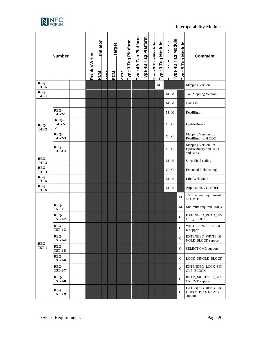

| <b>Number</b>        |                        |  | Initiator     |            | Target |     |            |                     |                             |                      | Tag Module                |           |               |                           | <b>Comment</b>           |                                                        |
|----------------------|------------------------|--|---------------|------------|--------|-----|------------|---------------------|-----------------------------|----------------------|---------------------------|-----------|---------------|---------------------------|--------------------------|--------------------------------------------------------|
|                      |                        |  | Reader/Writer | <b>PCM</b> | ACM    | PCM | <b>ACM</b> | Type 3 Tag Platform | <b>Type 4A Tag Platform</b> | Type 4B Tag Platform | <b>Turn of Tom Modulo</b> | S<br>Type |               | <b>Type 4B Tag Module</b> | <b>Type 5 Tag Module</b> |                                                        |
| REQ-<br><b>T3T-5</b> |                        |  |               |            |        |     |            |                     |                             |                      |                           | M         |               |                           |                          | <b>Mapping Version</b>                                 |
| REQ-<br><b>T4T-1</b> |                        |  |               |            |        |     |            |                     |                             |                      |                           |           | M             | M                         |                          | T4T Mapping Version                                    |
|                      |                        |  |               |            |        |     |            |                     |                             |                      |                           |           | М             | M                         |                          | CMD set                                                |
|                      | REQ-<br>T4T-2-1        |  |               |            |        |     |            |                     |                             |                      |                           |           | М             | M                         |                          | ReadBinary                                             |
| REQ-<br><b>T4T-2</b> | REO-<br>T4T-2-<br>2    |  |               |            |        |     |            |                     |                             |                      |                           |           | C             | C                         |                          | UpdateBinary                                           |
|                      | REO-<br>T4T-2-3        |  |               |            |        |     |            |                     |                             |                      |                           |           | $\mathcal{C}$ | C                         |                          | Mapping Version 3.x<br>ReadBinary and ODO              |
|                      | REQ-<br>$T4T-2-4$      |  |               |            |        |     |            |                     |                             |                      |                           |           | C             | $\mathsf{C}$              |                          | Mapping Version 3.x<br>UpdateBinary and ODO<br>and DDO |
| REQ-<br>T4T-3        |                        |  |               |            |        |     |            |                     |                             |                      |                           |           | M             | M                         |                          | Short Field coding                                     |
| REQ-<br><b>T4T-4</b> |                        |  |               |            |        |     |            |                     |                             |                      |                           |           | C             | $\mathsf{C}$              |                          | <b>Extended Field coding</b>                           |
| REQ-<br><b>T4T-5</b> |                        |  |               |            |        |     |            |                     |                             |                      |                           |           | M             | M                         |                          | Life Cycle State                                       |
| REQ-<br><b>T4T-6</b> |                        |  |               |            |        |     |            |                     |                             |                      |                           |           | М             | М                         |                          | Application, CC, NDEF                                  |
|                      |                        |  |               |            |        |     |            |                     |                             |                      |                           |           |               |                           | М                        | T5T: generic requirement<br>on CMDs                    |
|                      | REQ-<br><b>T5T-1-1</b> |  |               |            |        |     |            |                     |                             |                      |                           |           |               |                           | М                        | Minimum required CMDs                                  |
|                      | REQ-<br><b>T5T-1-2</b> |  |               |            |        |     |            |                     |                             |                      |                           |           |               |                           | $\mathbf C$              | EXTENDED_READ_SIN<br><b>GLE BLOCK</b>                  |
|                      | REQ-<br>T5T-1-3        |  |               |            |        |     |            |                     |                             |                      |                           |           |               |                           | C                        | WRITE_SINGLE_BLOC<br>K support                         |
|                      | REQ-<br>T5T-1-4        |  |               |            |        |     |            |                     |                             |                      |                           |           |               |                           | $\mathbf C$              | EXTENDED_WRITE_SI<br>NGLE_BLOCK support                |
| REQ-<br><b>T5T-1</b> | REQ-<br>T5T-1-5        |  |               |            |        |     |            |                     |                             |                      |                           |           |               |                           | 0                        | <b>SELECT CMD support</b>                              |
|                      | REO-<br><b>T5T-1-6</b> |  |               |            |        |     |            |                     |                             |                      |                           |           |               |                           | 0                        | LOCK_SINGLE_BLOCK                                      |
|                      | REQ-<br><b>T5T-1-7</b> |  |               |            |        |     |            |                     |                             |                      |                           |           |               |                           | $\overline{O}$           | EXTENDED_LOCK_SIN<br>GLE_BLOCK                         |
|                      | REQ-<br><b>T5T-1-8</b> |  |               |            |        |     |            |                     |                             |                      |                           |           |               |                           | $\mathbf{O}$             | READ_MULTIPLE_BLO<br>CK CMD support                    |
|                      | REQ-<br>T5T-1-9        |  |               |            |        |     |            |                     |                             |                      |                           |           |               |                           | O                        | EXTENDED_READ_MU<br>LTIPLE_BLOCK CMD<br>support        |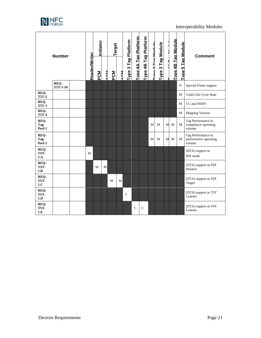

|                        | <b>Number</b>    | <b>Reader/Writer</b> | Initiator<br>PCM | A CM | Target<br>PCM | <b>ACM</b> | Type 3 Tag Platform | Tvne 4A Tag Platform | Tag Platform<br>Type 4B | Tung 2 Tag Medule | Type 3 Tag Module |   | <b>Type 4B Tag Module</b> | <b>Type 5 Tag Module</b> | <b>Comment</b>                                        |
|------------------------|------------------|----------------------|------------------|------|---------------|------------|---------------------|----------------------|-------------------------|-------------------|-------------------|---|---------------------------|--------------------------|-------------------------------------------------------|
|                        | REQ-<br>T5T-1-10 |                      |                  |      |               |            |                     |                      |                         |                   |                   |   |                           | $\overline{O}$           | Special Frame support                                 |
| REQ-<br><b>T5T-2</b>   |                  |                      |                  |      |               |            |                     |                      |                         |                   |                   |   |                           | М                        | Valid Life Cycle State                                |
| REQ-<br><b>T5T-3</b>   |                  |                      |                  |      |               |            |                     |                      |                         |                   |                   |   |                           | М                        | CC and NDEF                                           |
| REQ-<br><b>T5T-4</b>   |                  |                      |                  |      |               |            |                     |                      |                         |                   |                   |   |                           | М                        | <b>Mapping Version</b>                                |
| REQ-<br>Tag-<br>Perf-1 |                  |                      |                  |      |               |            |                     |                      |                         | M                 | M                 | M | M                         | M                        | Tag Performance in<br>compliance operating<br>volume  |
| REQ-<br>Tag-<br>Perf-2 |                  |                      |                  |      |               |            |                     |                      |                         | M                 | M                 | M | M                         | M                        | Tag Performance in<br>performance operating<br>volume |
| REQ-<br>TST-<br>1.A    |                  | M                    |                  |      |               |            |                     |                      |                         |                   |                   |   |                           |                          | [DTA] support in<br>RW mode                           |
| REQ-<br>TST-<br>1.B    |                  |                      | M                | M    |               |            |                     |                      |                         |                   |                   |   |                           |                          | [DTA] support as P2P<br>Initiator                     |
| REQ-<br>TST-<br>1.C    |                  |                      |                  |      | M             | M          |                     |                      |                         |                   |                   |   |                           |                          | [DTA] support as P2P<br>Target                        |
| REQ-<br>TST-<br>1.D    |                  |                      |                  |      |               |            | $\mathbf C$         |                      |                         |                   |                   |   |                           |                          | [DTA] support as T3T<br>Listener                      |
| REQ-<br>TST-<br>1.E    |                  |                      |                  |      |               |            |                     | $\overline{C}$       | $\mathbf C$             |                   |                   |   |                           |                          | [DTA] support as T4T<br>Listener                      |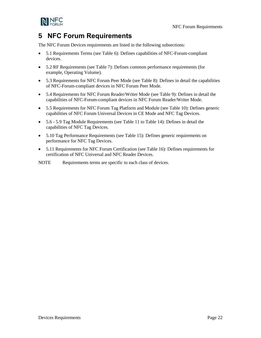NFC Forum Requirements



## <span id="page-21-0"></span>**5 NFC Forum Requirements**

The NFC Forum Devices requirements are listed in the following subsections:

- [5.1](#page-22-0) [Requirements](#page-22-0) Terms (see [Table 6\)](#page-22-1): Defines capabilities of NFC-Forum-compliant devices.
- [5.2](#page-25-0) [RF Requirements](#page-25-0) (see [Table 7\)](#page-25-1): Defines common performance requirements (for example, Operating Volume).
- [5.3](#page-26-0) [Requirements for NFC Forum Peer Mode](#page-26-0) (see [Table 8\)](#page-26-1): Defines in detail the capabilities of NFC-Forum-compliant devices in NFC Forum Peer Mode.
- [5.4](#page-28-0) [Requirements for NFC Forum Reader/Writer Mode](#page-28-0) (se[e Table 9\)](#page-28-1): Defines in detail the capabilities of NFC-Forum-compliant devices in NFC Forum Reader/Writer Mode.
- [5.5](#page-32-0) [Requirements for NFC Forum Tag Platform](#page-32-0) and Module (see [Table 10\)](#page-32-1): Defines generic capabilities of NFC Forum Universal Devices in CE Mode and NFC Tag Devices.
- [5.6](#page-33-0) [5.9](#page-36-0) Tag Module Requirements (see [Table 11](#page-33-1) to [Table 14\)](#page-36-1): Defines in detail the capabilities of NFC Tag Devices.
- [5.10](#page-37-0) [Tag Performance Requirements](#page-37-0) (see [Table 15\)](#page-37-1): Defines generic requirements on performance for NFC Tag Devices.
- [5.11](#page-38-0) Requirements [for NFC Forum Certification](#page-38-0) (see [Table 16\)](#page-38-1): Defines requirements for certification of NFC Universal and NFC Reader Devices.

NOTE Requirements terms are specific to each class of devices.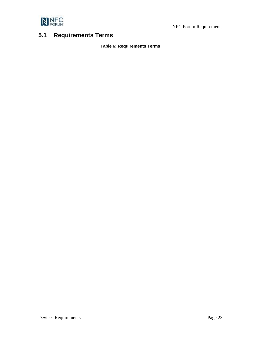

NFC Forum Requirements

## <span id="page-22-1"></span><span id="page-22-0"></span>**5.1 Requirements Terms**

#### **Table 6: Requirements Terms**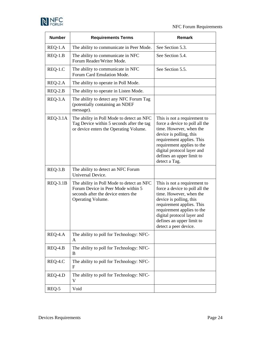

| <b>Number</b> | <b>Requirements Terms</b>                                                                                                                   | <b>Remark</b>                                                                                                                                                                                                                                                       |
|---------------|---------------------------------------------------------------------------------------------------------------------------------------------|---------------------------------------------------------------------------------------------------------------------------------------------------------------------------------------------------------------------------------------------------------------------|
| REQ-1.A       | The ability to communicate in Peer Mode.                                                                                                    | See Section 5.3.                                                                                                                                                                                                                                                    |
| $REQ-1.B$     | The ability to communicate in NFC<br>Forum Reader/Writer Mode.                                                                              | See Section 5.4.                                                                                                                                                                                                                                                    |
| REQ-1.C       | The ability to communicate in NFC<br>Forum Card Emulation Mode.                                                                             | See Section 5.5.                                                                                                                                                                                                                                                    |
| REQ-2.A       | The ability to operate in Poll Mode.                                                                                                        |                                                                                                                                                                                                                                                                     |
| $REQ-2.B$     | The ability to operate in Listen Mode.                                                                                                      |                                                                                                                                                                                                                                                                     |
| REQ-3.A       | The ability to detect any NFC Forum Tag<br>(potentially containing an NDEF<br>message).                                                     |                                                                                                                                                                                                                                                                     |
| $REQ-3.1A$    | The ability in Poll Mode to detect an NFC<br>Tag Device within 5 seconds after the tag<br>or device enters the Operating Volume.            | This is not a requirement to<br>force a device to poll all the<br>time. However, when the<br>device is polling, this<br>requirement applies. This<br>requirement applies to the<br>digital protocol layer and<br>defines an upper limit to<br>detect a Tag.         |
| $REQ-3.B$     | The ability to detect an NFC Forum<br>Universal Device.                                                                                     |                                                                                                                                                                                                                                                                     |
| $REQ-3.1B$    | The ability in Poll Mode to detect an NFC<br>Forum Device in Peer Mode within 5<br>seconds after the device enters the<br>Operating Volume. | This is not a requirement to<br>force a device to poll all the<br>time. However, when the<br>device is polling, this<br>requirement applies. This<br>requirement applies to the<br>digital protocol layer and<br>defines an upper limit to<br>detect a peer device. |
| REQ-4.A       | The ability to poll for Technology: NFC-<br>A                                                                                               |                                                                                                                                                                                                                                                                     |
| REQ-4.B       | The ability to poll for Technology: NFC-<br>B                                                                                               |                                                                                                                                                                                                                                                                     |
| REQ-4.C       | The ability to poll for Technology: NFC-<br>F                                                                                               |                                                                                                                                                                                                                                                                     |
| REQ-4.D       | The ability to poll for Technology: NFC-<br>V                                                                                               |                                                                                                                                                                                                                                                                     |
| REQ-5         | Void                                                                                                                                        |                                                                                                                                                                                                                                                                     |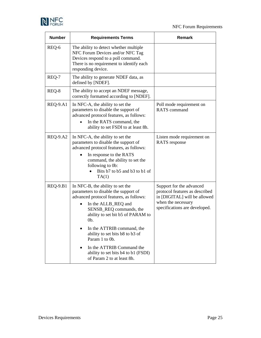

| <b>Number</b>   | <b>Requirements Terms</b>                                                                                                                                                                                                                                                                                                                                                                              | Remark                                                                                                                                            |
|-----------------|--------------------------------------------------------------------------------------------------------------------------------------------------------------------------------------------------------------------------------------------------------------------------------------------------------------------------------------------------------------------------------------------------------|---------------------------------------------------------------------------------------------------------------------------------------------------|
| REQ-6           | The ability to detect whether multiple<br>NFC Forum Devices and/or NFC Tag<br>Devices respond to a poll command.<br>There is no requirement to identify each<br>responding device.                                                                                                                                                                                                                     |                                                                                                                                                   |
| REQ-7           | The ability to generate NDEF data, as<br>defined by [NDEF].                                                                                                                                                                                                                                                                                                                                            |                                                                                                                                                   |
| REQ-8           | The ability to accept an NDEF message,<br>correctly formatted according to [NDEF].                                                                                                                                                                                                                                                                                                                     |                                                                                                                                                   |
| $REQ-9.A1$      | In NFC-A, the ability to set the<br>parameters to disable the support of<br>advanced protocol features, as follows:<br>In the RATS command, the<br>ability to set FSDI to at least 8h.                                                                                                                                                                                                                 | Poll mode requirement on<br><b>RATS</b> command                                                                                                   |
| <b>REQ-9.A2</b> | In NFC-A, the ability to set the<br>parameters to disable the support of<br>advanced protocol features, as follows:<br>In response to the RATS<br>command, the ability to set the<br>following to 0b:<br>Bits b7 to b5 and b3 to b1 of<br>TA(1)                                                                                                                                                        | Listen mode requirement on<br><b>RATS</b> response                                                                                                |
| <b>REQ-9.B1</b> | In NFC-B, the ability to set the<br>parameters to disable the support of<br>advanced protocol features, as follows:<br>In the ALLB_REQ and<br>SENSB_REQ commands, the<br>ability to set bit b5 of PARAM to<br>Ob.<br>In the ATTRIB command, the<br>ability to set bits b8 to b3 of<br>Param 1 to 0b.<br>In the ATTRIB Command the<br>ability to set bits b4 to b1 (FSDI)<br>of Param 2 to at least 8h. | Support for the advanced<br>protocol features as described<br>in [DIGITAL] will be allowed<br>when the necessary<br>specifications are developed. |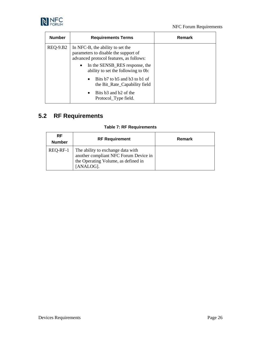

| <b>Number</b>   | <b>Requirements Terms</b>                                                                                                                                                                                 | Remark |
|-----------------|-----------------------------------------------------------------------------------------------------------------------------------------------------------------------------------------------------------|--------|
| <b>REQ-9.B2</b> | In NFC-B, the ability to set the<br>parameters to disable the support of<br>advanced protocol features, as follows:<br>In the SENSB_RES response, the<br>$\bullet$<br>ability to set the following to 0b: |        |
|                 | Bits b7 to b5 and b3 to b1 of<br>$\bullet$<br>the Bit_Rate_Capability field                                                                                                                               |        |
|                 | Bits b3 and b2 of the<br>$\bullet$<br>Protocol_Type field.                                                                                                                                                |        |

# <span id="page-25-1"></span><span id="page-25-0"></span>**5.2 RF Requirements**

#### **Table 7: RF Requirements**

| <b>RF</b><br><b>Number</b> | <b>RF Requirement</b>                                                                                                          | Remark |
|----------------------------|--------------------------------------------------------------------------------------------------------------------------------|--------|
| REQ-RF-1                   | The ability to exchange data with<br>another compliant NFC Forum Device in<br>the Operating Volume, as defined in<br>[ANALOG]. |        |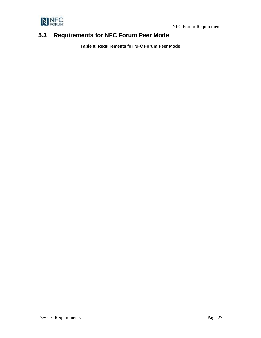



## <span id="page-26-1"></span><span id="page-26-0"></span>**5.3 Requirements for NFC Forum Peer Mode**

**Table 8: Requirements for NFC Forum Peer Mode**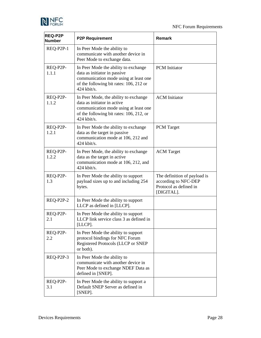

| REQ-P2P<br><b>Number</b> | <b>P2P Requirement</b>                                                                                                                                                    | <b>Remark</b>                                                                                |  |  |  |  |  |
|--------------------------|---------------------------------------------------------------------------------------------------------------------------------------------------------------------------|----------------------------------------------------------------------------------------------|--|--|--|--|--|
| REQ-P2P-1                | In Peer Mode the ability to<br>communicate with another device in<br>Peer Mode to exchange data.                                                                          |                                                                                              |  |  |  |  |  |
| REQ-P2P-<br>1.1.1        | In Peer Mode the ability to exchange<br>data as initiator in passive<br>communication mode using at least one<br>of the following bit rates: 106, 212 or<br>$424$ kbit/s. | <b>PCM</b> Initiator                                                                         |  |  |  |  |  |
| REQ-P2P-<br>1.1.2        | In Peer Mode, the ability to exchange<br>data as initiator in active<br>communication mode using at least one<br>of the following bit rates: 106, 212, or<br>424 kbit/s.  | <b>ACM</b> Initiator                                                                         |  |  |  |  |  |
| REQ-P2P-<br>1.2.1        | In Peer Mode the ability to exchange<br>data as the target in passive<br>communication mode at 106, 212 and<br>$424$ kbit/s.                                              | <b>PCM</b> Target                                                                            |  |  |  |  |  |
| REQ-P2P-<br>1.2.2        | In Peer Mode, the ability to exchange<br>data as the target in active<br>communication mode at 106, 212, and<br>$424$ kbit/s.                                             | <b>ACM</b> Target                                                                            |  |  |  |  |  |
| REQ-P2P-<br>1.3          | In Peer Mode the ability to support<br>payload sizes up to and including 254<br>bytes.                                                                                    | The definition of payload is<br>according to NFC-DEP<br>Protocol as defined in<br>[DIGITAL]. |  |  |  |  |  |
| REQ-P2P-2                | In Peer Mode the ability to support<br>LLCP as defined in [LLCP].                                                                                                         |                                                                                              |  |  |  |  |  |
| REQ-P2P-<br>2.1          | In Peer Mode the ability to support<br>LLCP link service class 3 as defined in<br>[LLCP].                                                                                 |                                                                                              |  |  |  |  |  |
| REQ-P2P-<br>2.2          | In Peer Mode the ability to support<br>protocol bindings for NFC Forum<br>Registered Protocols (LLCP or SNEP<br>or both).                                                 |                                                                                              |  |  |  |  |  |
| REQ-P2P-3                | In Peer Mode the ability to<br>communicate with another device in<br>Peer Mode to exchange NDEF Data as<br>defined in [SNEP].                                             |                                                                                              |  |  |  |  |  |
| REQ-P2P-<br>3.1          | In Peer Mode the ability to support a<br>Default SNEP Server as defined in<br>[SNEP].                                                                                     |                                                                                              |  |  |  |  |  |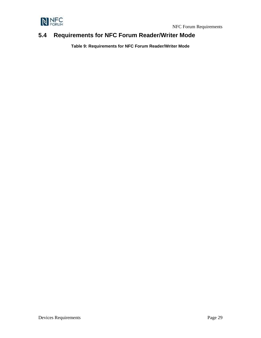

## <span id="page-28-1"></span><span id="page-28-0"></span>**5.4 Requirements for NFC Forum Reader/Writer Mode**

**Table 9: Requirements for NFC Forum Reader/Writer Mode**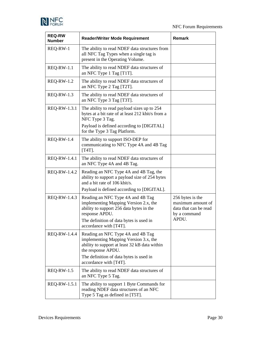

| <b>REQ-RW</b><br><b>Number</b> | <b>Reader/Writer Mode Requirement</b>                                                                                                                                                                                  | Remark                                                                                  |
|--------------------------------|------------------------------------------------------------------------------------------------------------------------------------------------------------------------------------------------------------------------|-----------------------------------------------------------------------------------------|
| REQ-RW-1                       | The ability to read NDEF data structures from<br>all NFC Tag Types when a single tag is<br>present in the Operating Volume.                                                                                            |                                                                                         |
| $REQ-RW-1.1$                   | The ability to read NDEF data structures of<br>an NFC Type 1 Tag [T1T].                                                                                                                                                |                                                                                         |
| <b>REQ-RW-1.2</b>              | The ability to read NDEF data structures of<br>an NFC Type 2 Tag [T2T].                                                                                                                                                |                                                                                         |
| $REQ-RW-1.3$                   | The ability to read NDEF data structures of<br>an NFC Type 3 Tag [T3T].                                                                                                                                                |                                                                                         |
| REQ-RW-1.3.1                   | The ability to read payload sizes up to 254<br>bytes at a bit rate of at least 212 kbit/s from a<br>NFC Type 3 Tag.<br>Payload is defined according to [DIGITAL]<br>for the Type 3 Tag Platform.                       |                                                                                         |
| <b>REQ-RW-1.4</b>              | The ability to support ISO-DEP for<br>communicating to NFC Type 4A and 4B Tag<br>$[T4T]$ .                                                                                                                             |                                                                                         |
| REQ-RW-1.4.1                   | The ability to read NDEF data structures of<br>an NFC Type 4A and 4B Tag.                                                                                                                                              |                                                                                         |
| REQ-RW-1.4.2                   | Reading an NFC Type 4A and 4B Tag, the<br>ability to support a payload size of 254 bytes<br>and a bit rate of 106 kbit/s.<br>Payload is defined according to [DIGITAL].                                                |                                                                                         |
| REQ-RW-1.4.3                   | Reading an NFC Type 4A and 4B Tag<br>implementing Mapping Version 2.x, the<br>ability to support 256 data bytes in the<br>response APDU.<br>The definition of data bytes is used in<br>accordance with [T4T].          | 256 bytes is the<br>maximum amount of<br>data that can be read<br>by a command<br>APDU. |
| REQ-RW-1.4.4                   | Reading an NFC Type 4A and 4B Tag<br>implementing Mapping Version 3.x, the<br>ability to support at least 32 kB data within<br>the response APDU.<br>The definition of data bytes is used in<br>accordance with [T4T]. |                                                                                         |
| $REQ-RW-1.5$                   | The ability to read NDEF data structures of<br>an NFC Type 5 Tag.                                                                                                                                                      |                                                                                         |
| REQ-RW-1.5.1                   | The ability to support 1 Byte Commands for<br>reading NDEF data structures of an NFC<br>Type 5 Tag as defined in [T5T].                                                                                                |                                                                                         |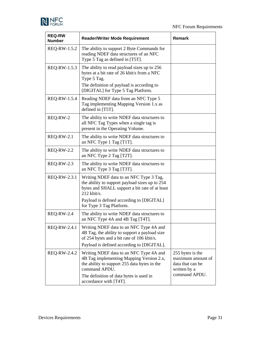

| <b>REQ-RW</b><br><b>Number</b> | <b>Reader/Writer Mode Requirement</b>                                                                                                                                                                                               | <b>Remark</b>                                                                              |
|--------------------------------|-------------------------------------------------------------------------------------------------------------------------------------------------------------------------------------------------------------------------------------|--------------------------------------------------------------------------------------------|
| REQ-RW-1.5.2                   | The ability to support 2 Byte Commands for<br>reading NDEF data structures of an NFC<br>Type 5 Tag as defined in [T5T].                                                                                                             |                                                                                            |
| REQ-RW-1.5.3                   | The ability to read payload sizes up to 256<br>bytes at a bit rate of 26 kbit/s from a NFC<br>Type 5 Tag.<br>The definition of payload is according to<br>[DIGITAL] for Type 5 Tag Platform.                                        |                                                                                            |
| REQ-RW-1.5.4                   | Reading NDEF data from an NFC Type 5<br>Tag implementing Mapping Version 1.x as<br>defined in [T5T].                                                                                                                                |                                                                                            |
| REQ-RW-2                       | The ability to write NDEF data structures to<br>all NFC Tag Types when a single tag is<br>present in the Operating Volume.                                                                                                          |                                                                                            |
| <b>REQ-RW-2.1</b>              | The ability to write NDEF data structures to<br>an NFC Type 1 Tag [T1T].                                                                                                                                                            |                                                                                            |
| <b>REQ-RW-2.2</b>              | The ability to write NDEF data structures to<br>an NFC Type 2 Tag [T2T].                                                                                                                                                            |                                                                                            |
| <b>REQ-RW-2.3</b>              | The ability to write NDEF data structures to<br>an NFC Type 3 Tag [T3T].                                                                                                                                                            |                                                                                            |
| REQ-RW-2.3.1                   | Writing NDEF data to an NFC Type 3 Tag,<br>the ability to support payload sizes up to 254<br>bytes and SHALL support a bit rate of at least<br>212 kbit/s.<br>Payload is defined according to [DIGITAL]<br>for Type 3 Tag Platform. |                                                                                            |
| <b>REQ-RW-2.4</b>              | The ability to write NDEF data structures to<br>an NFC Type 4A and 4B Tag [T4T].                                                                                                                                                    |                                                                                            |
| REQ-RW-2.4.1                   | Writing NDEF data to an NFC Type 4A and<br>4B Tag, the ability to support a payload size<br>of 254 bytes and a bit rate of 106 kbit/s.<br>Payload is defined according to [DIGITAL].                                                |                                                                                            |
| REQ-RW-2.4.2                   | Writing NDEF data to an NFC Type 4A and<br>4B Tag implementing Mapping Version 2.x,<br>the ability to support 255 data bytes in the<br>command APDU.<br>The definition of data bytes is used in<br>accordance with [T4T].           | 255 bytes is the<br>maximum amount of<br>data that can be<br>written by a<br>command APDU. |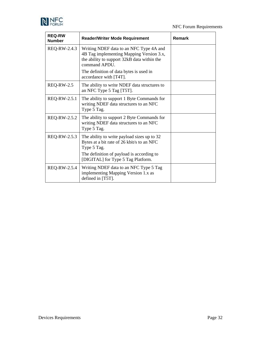

| <b>REQ-RW</b><br><b>Number</b> | <b>Reader/Writer Mode Requirement</b>                                                                                                                                                                                    | Remark |
|--------------------------------|--------------------------------------------------------------------------------------------------------------------------------------------------------------------------------------------------------------------------|--------|
| REQ-RW-2.4.3                   | Writing NDEF data to an NFC Type 4A and<br>4B Tag implementing Mapping Version 3.x,<br>the ability to support 32kB data within the<br>command APDU.<br>The definition of data bytes is used in<br>accordance with [T4T]. |        |
| <b>REQ-RW-2.5</b>              | The ability to write NDEF data structures to<br>an NFC Type 5 Tag [T5T].                                                                                                                                                 |        |
| REQ-RW-2.5.1                   | The ability to support 1 Byte Commands for<br>writing NDEF data structures to an NFC<br>Type 5 Tag.                                                                                                                      |        |
| REQ-RW-2.5.2                   | The ability to support 2 Byte Commands for<br>writing NDEF data structures to an NFC<br>Type 5 Tag.                                                                                                                      |        |
| REQ-RW-2.5.3                   | The ability to write payload sizes up to 32<br>Bytes at a bit rate of 26 kbit/s to an NFC<br>Type 5 Tag.<br>The definition of payload is according to<br>[DIGITAL] for Type 5 Tag Platform.                              |        |
| REQ-RW-2.5.4                   | Writing NDEF data to an NFC Type 5 Tag<br>implementing Mapping Version 1.x as<br>defined in [T5T].                                                                                                                       |        |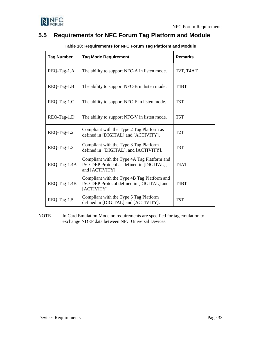



## <span id="page-32-1"></span><span id="page-32-0"></span>**5.5 Requirements for NFC Forum Tag Platform and Module**

| <b>Tag Number</b> | <b>Tag Mode Requirement</b>                                                                                 | <b>Remarks</b>                      |
|-------------------|-------------------------------------------------------------------------------------------------------------|-------------------------------------|
| REQ-Tag-1.A       | The ability to support NFC-A in listen mode.                                                                | T <sub>2</sub> T, T <sub>4</sub> AT |
| REQ-Tag-1.B       | The ability to support NFC-B in listen mode.                                                                | T <sub>4</sub> BT                   |
| REQ-Tag-1.C       | The ability to support NFC-F in listen mode.                                                                | T <sub>3</sub> T                    |
| REQ-Tag-1.D       | The ability to support NFC-V in listen mode.                                                                | T <sub>5</sub> T                    |
| REQ-Tag-1.2       | Compliant with the Type 2 Tag Platform as<br>defined in [DIGITAL] and [ACTIVITY].                           | T <sub>2</sub> T                    |
| REQ-Tag-1.3       | Compliant with the Type 3 Tag Platform<br>defined in [DIGITAL], and [ACTIVITY].                             | T3T                                 |
| REQ-Tag-1.4A      | Compliant with the Type 4A Tag Platform and<br>ISO-DEP Protocol as defined in [DIGITAL],<br>and [ACTIVITY]. | T <sub>4</sub> AT                   |
| REQ-Tag-1.4B      | Compliant with the Type 4B Tag Platform and<br>ISO-DEP Protocol defined in [DIGITAL] and<br>[ACTIVITY].     | T <sub>4</sub> BT                   |
| REQ-Tag-1.5       | Compliant with the Type 5 Tag Platform<br>defined in [DIGITAL] and [ACTIVITY].                              | T <sub>5</sub> T                    |

#### **Table 10: Requirements for NFC Forum Tag Platform and Module**

NOTE In Card Emulation Mode no requirements are specified for tag emulation to exchange NDEF data between NFC Universal Devices.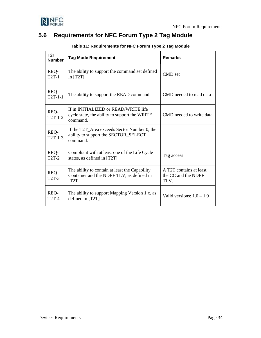

## <span id="page-33-1"></span><span id="page-33-0"></span>**5.6 Requirements for NFC Forum Type 2 Tag Module**

| T2T<br><b>Number</b> | <b>Tag Mode Requirement</b>                                                                              | <b>Remarks</b>                                         |
|----------------------|----------------------------------------------------------------------------------------------------------|--------------------------------------------------------|
| REQ-<br><b>T2T-1</b> | The ability to support the command set defined<br>in $[T2T]$ .                                           | CMD set                                                |
| REQ-<br>$T2T-1-1$    | The ability to support the READ command.                                                                 | CMD needed to read data                                |
| REQ-<br>$T2T-1-2$    | If in INITIALIZED or READ/WRITE life<br>cycle state, the ability to support the WRITE<br>command.        | CMD needed to write data                               |
| REQ-<br>$T2T-1-3$    | If the T2T_Area exceeds Sector Number 0, the<br>ability to support the SECTOR_SELECT<br>command.         |                                                        |
| REQ-<br><b>T2T-2</b> | Compliant with at least one of the Life Cycle<br>states, as defined in [T2T].                            | Tag access                                             |
| REQ-<br>$T2T-3$      | The ability to contain at least the Capability<br>Container and the NDEF TLV, as defined in<br>$[T2T]$ . | A T2T contains at least<br>the CC and the NDEF<br>TLV. |
| REQ-<br><b>T2T-4</b> | The ability to support Mapping Version 1.x, as<br>defined in [T2T].                                      | Valid versions: $1.0 - 1.9$                            |

#### **Table 11: Requirements for NFC Forum Type 2 Tag Module**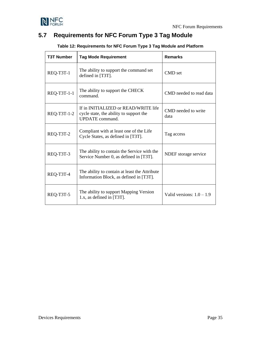

## <span id="page-34-1"></span><span id="page-34-0"></span>**5.7 Requirements for NFC Forum Type 3 Tag Module**

| <b>T3T Number</b> | <b>Tag Mode Requirement</b>                                                                               | <b>Remarks</b>              |
|-------------------|-----------------------------------------------------------------------------------------------------------|-----------------------------|
| REQ-T3T-1         | The ability to support the command set<br>defined in [T3T].                                               | CMD set                     |
| REQ-T3T-1-1       | The ability to support the CHECK<br>command.                                                              | CMD needed to read data     |
| REQ-T3T-1-2       | If in INITIALIZED or READ/WRITE life<br>cycle state, the ability to support the<br><b>UPDATE</b> command. | CMD needed to write<br>data |
| REQ-T3T-2         | Compliant with at least one of the Life<br>Cycle States, as defined in [T3T].                             | Tag access                  |
| REQ-T3T-3         | The ability to contain the Service with the<br>Service Number 0, as defined in [T3T].                     | NDEF storage service        |
| REQ-T3T-4         | The ability to contain at least the Attribute<br>Information Block, as defined in [T3T].                  |                             |
| REQ-T3T-5         | The ability to support Mapping Version<br>1.x, as defined in $[T3T]$ .                                    | Valid versions: $1.0 - 1.9$ |

**Table 12: Requirements for NFC Forum Type 3 Tag Module and Platform**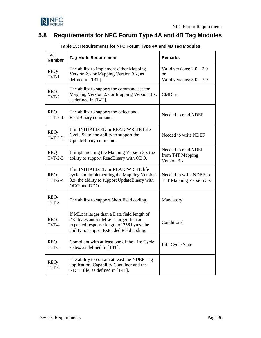

## <span id="page-35-1"></span><span id="page-35-0"></span>**5.8 Requirements for NFC Forum Type 4A and 4B Tag Modules**

| T4T<br><b>Number</b>                   | <b>Tag Mode Requirement</b>                                                                                                                                                       | <b>Remarks</b>                                                              |
|----------------------------------------|-----------------------------------------------------------------------------------------------------------------------------------------------------------------------------------|-----------------------------------------------------------------------------|
| REQ-<br>$T4T-1$                        | The ability to implement either Mapping<br>Version 2.x or Mapping Version 3.x, as<br>defined in [T4T].                                                                            | Valid versions: $2.0 - 2.9$<br><sub>or</sub><br>Valid versions: $3.0 - 3.9$ |
| REQ-<br>T4T-2                          | The ability to support the command set for<br>Mapping Version 2.x or Mapping Version 3.x,<br>as defined in [T4T].                                                                 | CMD set                                                                     |
| REQ-<br>$T4T-2-1$                      | The ability to support the Select and<br>ReadBinary commands.                                                                                                                     | Needed to read NDEF                                                         |
| REQ-<br>T4T-2-2                        | If in INITIALIZED or READ/WRITE Life<br>Cycle State, the ability to support the<br>UpdateBinary command.                                                                          | Needed to write NDEF                                                        |
| REQ-<br>T4T-2-3                        | If implementing the Mapping Version 3.x the<br>ability to support ReadBinary with ODO.                                                                                            | Needed to read NDEF<br>from T4T Mapping<br>Version 3.x                      |
| REQ-<br>T4T-2-4                        | If in INITIALIZED or READ/WRITE life<br>cycle and implementing the Mapping Version<br>3.x, the ability to support UpdateBinary with<br>ODO and DDO.                               | Needed to write NDEF to<br>T4T Mapping Version 3.x                          |
| REQ-<br>T <sub>4</sub> T <sub>-3</sub> | The ability to support Short Field coding.                                                                                                                                        | Mandatory                                                                   |
| REQ-<br>T4T-4                          | If MLc is larger than a Data field length of<br>255 bytes and/or MLe is larger than an<br>expected response length of 256 bytes, the<br>ability to support Extended Field coding. | Conditional                                                                 |
| REQ-<br>T4T-5                          | Compliant with at least one of the Life Cycle<br>states, as defined in [T4T].                                                                                                     | Life Cycle State                                                            |
| REQ-<br>T4T-6                          | The ability to contain at least the NDEF Tag<br>application, Capability Container and the<br>NDEF file, as defined in [T4T].                                                      |                                                                             |

**Table 13: Requirements for NFC Forum Type 4A and 4B Tag Modules**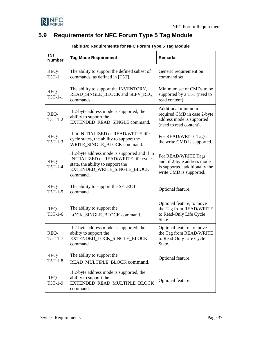

## <span id="page-36-1"></span><span id="page-36-0"></span>**5.9 Requirements for NFC Forum Type 5 Tag Module**

| T <sub>5</sub> T<br><b>Number</b> | <b>Tag Mode Requirement</b>                                                                                                                                            | <b>Remarks</b>                                                                                                  |  |  |  |
|-----------------------------------|------------------------------------------------------------------------------------------------------------------------------------------------------------------------|-----------------------------------------------------------------------------------------------------------------|--|--|--|
| REQ-<br>$T5T-1$                   | The ability to support the defined subset of<br>commands, as defined in [T5T].                                                                                         | Generic requirement on<br>command set                                                                           |  |  |  |
| REQ-<br>$T5T-1-1$                 | The ability to support the INVENTORY,<br>READ_SINGLE_BLOCK and SLPV_REQ<br>commands.                                                                                   | Minimum set of CMDs to be<br>supported by a T5T (need to<br>read content).                                      |  |  |  |
| REQ-<br>$T5T-1-2$                 | If 2-byte address mode is supported, the<br>ability to support the<br>EXTENDED_READ_SINGLE command.                                                                    | Additional minimum<br>required CMD in case 2-byte<br>address mode is supported<br>(need to read content).       |  |  |  |
| REQ-<br>$T5T-1-3$                 | If in INITIALIZED or READ/WRITE life<br>cycle states, the ability to support the<br>WRITE_SINGLE_BLOCK command.                                                        | For READ/WRITE Tags,<br>the write CMD is supported.                                                             |  |  |  |
| REQ-<br>$T5T-1-4$                 | If 2-byte address mode is supported and if in<br>INITIALIZED or READ/WRITE life cycles<br>state, the ability to support the<br>EXTENDED_WRITE_SINGLE_BLOCK<br>command. | For READ/WRITE Tags<br>and, if 2-byte address mode<br>is supported, additionally the<br>write CMD is supported. |  |  |  |
| REQ-<br>$T5T-1-5$                 | The ability to support the SELECT<br>command.                                                                                                                          | Optional feature.                                                                                               |  |  |  |
| REQ-<br>$T5T-1-6$                 | The ability to support the<br>LOCK_SINGLE_BLOCK command.                                                                                                               | Optional feature, to move<br>the Tag from READ/WRITE<br>to Read-Only Life Cycle<br>State.                       |  |  |  |
| REQ-<br>$T5T-1-7$                 | If 2-byte address mode is supported, the<br>ability to support the<br>EXTENDED_LOCK_SINGLE_BLOCK<br>command.                                                           | Optional feature, to move<br>the Tag from READ/WRITE<br>to Read-Only Life Cycle<br>State.                       |  |  |  |
| REQ-<br>$T5T-1-8$                 | The ability to support the<br>READ_MULTIPLE_BLOCK command.                                                                                                             | Optional feature.                                                                                               |  |  |  |
| REQ-<br>T5T-1-9                   | If 2-byte address mode is supported, the<br>ability to support the<br>EXTENDED READ MULTIPLE BLOCK<br>command.                                                         | Optional feature.                                                                                               |  |  |  |

#### **Table 14: Requirements for NFC Forum Type 5 Tag Module**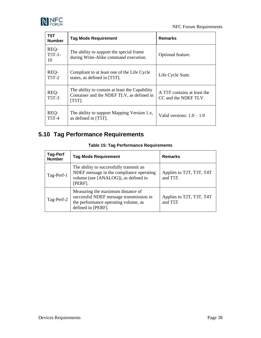



| T <sub>5</sub> T<br><b>Number</b> | <b>Tag Mode Requirement</b>                                                                              | <b>Remarks</b>                                      |
|-----------------------------------|----------------------------------------------------------------------------------------------------------|-----------------------------------------------------|
| REQ-<br>$T5T-1-$<br>10            | The ability to support the special frame.<br>during Write-Alike command execution.                       | Optional feature.                                   |
| REQ-<br><b>T5T-2</b>              | Compliant to at least one of the Life Cycle<br>states, as defined in [T5T].                              | Life Cycle State.                                   |
| REQ-<br><b>T5T-3</b>              | The ability to contain at least the Capability<br>Container and the NDEF TLV, as defined in<br>$[T5T]$ . | A T5T contains at least the<br>CC and the NDEF TLV. |
| REQ-<br><b>T5T-4</b>              | The ability to support Mapping Version 1.x,<br>as defined in [T5T].                                      | Valid versions: $1.0 - 1.9$                         |

## <span id="page-37-1"></span><span id="page-37-0"></span>**5.10 Tag Performance Requirements**

| <b>Tag-Perf</b><br><b>Number</b> | <b>Tag Mode Requirement</b>                                                                                                                | <b>Remarks</b>                       |
|----------------------------------|--------------------------------------------------------------------------------------------------------------------------------------------|--------------------------------------|
| Tag-Perf-1                       | The ability to successfully transmit an<br>NDEF message in the compliance operating<br>volume (see [ANALOG]), as defined in<br>[PERF].     | Applies to T2T, T3T, T4T<br>and T5T. |
| Tag-Perf-2                       | Measuring the maximum distance of<br>successful NDEF message transmission in<br>the performance operating volume, as<br>defined in [PERF]. | Applies to T2T, T3T, T4T<br>and T5T. |

#### **Table 15: Tag Performance Requirements**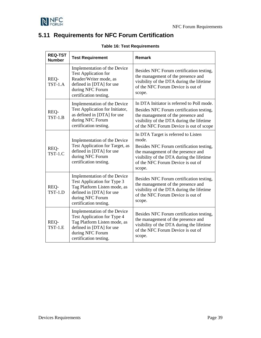

## <span id="page-38-1"></span><span id="page-38-0"></span>**5.11 Requirements for NFC Forum Certification**

| <b>REQ-TST</b><br><b>Number</b> | <b>Test Requirement</b>                                                                                                                                               | Remark                                                                                                                                                                                                                     |  |  |  |  |
|---------------------------------|-----------------------------------------------------------------------------------------------------------------------------------------------------------------------|----------------------------------------------------------------------------------------------------------------------------------------------------------------------------------------------------------------------------|--|--|--|--|
| REQ-<br>$TST-1.A$               | Implementation of the Device<br><b>Test Application for</b><br>Reader/Writer mode, as<br>defined in [DTA] for use<br>during NFC Forum<br>certification testing.       | Besides NFC Forum certification testing,<br>the management of the presence and<br>visibility of the DTA during the lifetime<br>of the NFC Forum Device is out of<br>scope.                                                 |  |  |  |  |
| REQ-<br>$TST-1.B$               | Implementation of the Device<br>Test Application for Initiator,<br>as defined in [DTA] for use<br>during NFC Forum<br>certification testing.                          | In DTA Initiator is referred to Poll mode.<br>Besides NFC Forum certification testing,<br>the management of the presence and<br>visibility of the DTA during the lifetime<br>of the NFC Forum Device is out of scope       |  |  |  |  |
| REQ-<br>$TST-1.C$               | Implementation of the Device<br>Test Application for Target, as<br>defined in [DTA] for use<br>during NFC Forum<br>certification testing.                             | In DTA Target is referred to Listen<br>mode.<br>Besides NFC Forum certification testing,<br>the management of the presence and<br>visibility of the DTA during the lifetime<br>of the NFC Forum Device is out of<br>scope. |  |  |  |  |
| REQ-<br>$TST-1.D$               | Implementation of the Device<br>Test Application for Type 3<br>Tag Platform Listen mode, as<br>defined in [DTA] for use<br>during NFC Forum<br>certification testing. | Besides NFC Forum certification testing,<br>the management of the presence and<br>visibility of the DTA during the lifetime<br>of the NFC Forum Device is out of<br>scope.                                                 |  |  |  |  |
| REQ-<br><b>TST-1.E</b>          | Implementation of the Device<br>Test Application for Type 4<br>Tag Platform Listen mode, as<br>defined in [DTA] for use<br>during NFC Forum<br>certification testing. | Besides NFC Forum certification testing,<br>the management of the presence and<br>visibility of the DTA during the lifetime<br>of the NFC Forum Device is out of<br>scope.                                                 |  |  |  |  |

#### **Table 16: Test Requirements**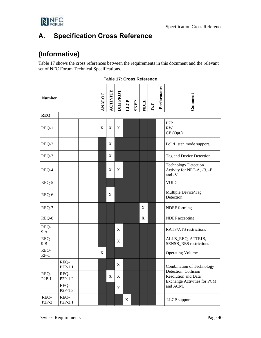

# <span id="page-39-0"></span>**A. Specification Cross Reference**

# **(Informative)**

[Table 17](#page-39-1) shows the cross references between the requirements in this document and the relevant set of NFC Forum Technical Specifications.

<span id="page-39-1"></span>

| <b>Number</b>   |                             | <b>ANALOG</b> | ACTIVITY | DIG PROT    | LLCP                      | <b>SNEP</b> | NDEF | $\mathbf{TxT}$ | Performance | Comment |                                                                                          |  |
|-----------------|-----------------------------|---------------|----------|-------------|---------------------------|-------------|------|----------------|-------------|---------|------------------------------------------------------------------------------------------|--|
| <b>REQ</b>      |                             |               |          |             |                           |             |      |                |             |         |                                                                                          |  |
| REQ-1           |                             |               | X        | $\mathbf X$ | $\mathbf X$               |             |      |                |             |         | P <sub>2</sub> P<br>RW<br>CE (Opt.)                                                      |  |
| REQ-2           |                             |               |          | $\mathbf X$ |                           |             |      |                |             |         | Poll/Listen mode support.                                                                |  |
| REQ-3           |                             |               |          | X           |                           |             |      |                |             |         | Tag and Device Detection                                                                 |  |
| REQ-4           |                             |               |          | X           | $\boldsymbol{\mathrm{X}}$ |             |      |                |             |         | <b>Technology Detection</b><br>Activity for NFC-A, -B, -F<br>and -V                      |  |
| REQ-5           |                             |               |          |             |                           |             |      |                |             |         | <b>VOID</b>                                                                              |  |
| REQ-6           |                             |               |          | X           |                           |             |      |                |             |         | Multiple Device/Tag<br>Detection                                                         |  |
| REQ-7           |                             |               |          |             |                           |             |      | X              |             |         | NDEF forming                                                                             |  |
| REQ-8           |                             |               |          |             |                           |             |      | X              |             |         | NDEF accepting                                                                           |  |
| REQ-<br>9.A     |                             |               |          |             | X                         |             |      |                |             |         | RATS/ATS restrictions                                                                    |  |
| REQ-<br>9.B     |                             |               |          |             | X                         |             |      |                |             |         | ALLB_REQ, ATTRIB,<br><b>SENSB_RES</b> restrictions                                       |  |
| REQ-<br>$RF-1$  |                             |               | X        |             |                           |             |      |                |             |         | <b>Operating Volume</b>                                                                  |  |
|                 | REQ-<br>P <sub>2P-1.1</sub> |               |          |             | X                         |             |      |                |             |         | <b>Combination of Technology</b>                                                         |  |
| REQ-<br>$P2P-1$ | REQ-<br>P <sub>2P-1.2</sub> |               |          | X           | X                         |             |      |                |             |         | Detection, Collision<br><b>Resolution and Data</b><br><b>Exchange Activities for PCM</b> |  |
|                 | REQ-<br>$P2P-1.3$           |               |          |             | $\mathbf X$               |             |      |                |             |         | and ACM.                                                                                 |  |
| REQ-<br>$P2P-2$ | REQ-<br>P2P-2.1             |               |          |             |                           | $\mathbf X$ |      |                |             |         | LLCP support                                                                             |  |

| <b>Table 17: Cross Reference</b> |  |  |  |  |
|----------------------------------|--|--|--|--|
|----------------------------------|--|--|--|--|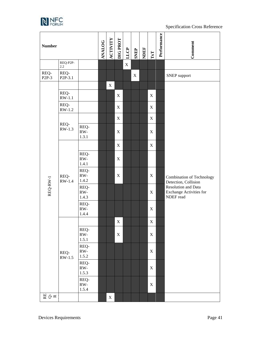

#### Specification Cross Reference

| <b>Number</b>   |                              |                        | <b>ANALOG</b> | <b>ACTIVITY</b> | DIG PROT    | LLCP        | <b>SNEP</b> | NDEF | $\mathbf{TxT}$ | Performance | Comment                                                            |
|-----------------|------------------------------|------------------------|---------------|-----------------|-------------|-------------|-------------|------|----------------|-------------|--------------------------------------------------------------------|
|                 | REQ-P2P-<br>$2.2\,$          |                        |               |                 |             | $\mathbf X$ |             |      |                |             |                                                                    |
| REQ-<br>$P2P-3$ | REQ-<br>P <sub>2</sub> P-3.1 |                        |               |                 |             |             | $\mathbf X$ |      |                |             | <b>SNEP</b> support                                                |
|                 |                              |                        |               | $\mathbf X$     |             |             |             |      |                |             |                                                                    |
|                 | REQ-<br>$RW-1.1$             |                        |               |                 | $\mathbf X$ |             |             |      | $\mathbf X$    |             |                                                                    |
|                 | REQ-<br>$RW-1.2$             |                        |               |                 | $\mathbf X$ |             |             |      | $\mathbf X$    |             |                                                                    |
|                 |                              |                        |               |                 | $\mathbf X$ |             |             |      | $\mathbf X$    |             |                                                                    |
|                 | REQ-<br>$RW-1.3$             | REQ-<br>RW-<br>1.3.1   |               |                 | $\mathbf X$ |             |             |      | $\mathbf X$    |             |                                                                    |
|                 |                              |                        |               |                 | $\mathbf X$ |             |             |      | $\mathbf X$    |             |                                                                    |
|                 |                              | REQ-<br>RW-<br>1.4.1   |               |                 | $\mathbf X$ |             |             |      |                |             |                                                                    |
|                 | REQ-<br>$RW-1.4$             | REQ-<br>RW-<br>1.4.2   |               |                 | $\mathbf X$ |             |             |      | $\mathbf X$    |             | <b>Combination of Technology</b><br>Detection, Collision           |
| $REQ-RW-1$      |                              | REQ-<br>RW-<br>1.4.3   |               |                 |             |             |             |      | $\mathbf X$    |             | Resolution and Data<br><b>Exchange Activities for</b><br>NDEF read |
|                 |                              | REQ-<br>RW-<br>1.4.4   |               |                 |             |             |             |      | $\mathbf X$    |             |                                                                    |
|                 |                              |                        |               |                 | $\mathbf X$ |             |             |      | $\mathbf X$    |             |                                                                    |
|                 |                              | REQ-<br>RW-<br>1.5.1   |               |                 | $\mathbf X$ |             |             |      | $\mathbf X$    |             |                                                                    |
|                 | REQ-<br>$RW-1.5$             | REQ-<br>RW-<br>1.5.2   |               |                 |             |             |             |      | $\mathbf X$    |             |                                                                    |
|                 |                              | REQ-<br>$RW-$<br>1.5.3 |               |                 |             |             |             |      | $\mathbf X$    |             |                                                                    |
|                 |                              | REQ-<br>RW-<br>1.5.4   |               |                 |             |             |             |      | $\mathbf X$    |             |                                                                    |
| 田<br>20 K       |                              |                        |               | $\mathbf X$     |             |             |             |      |                |             |                                                                    |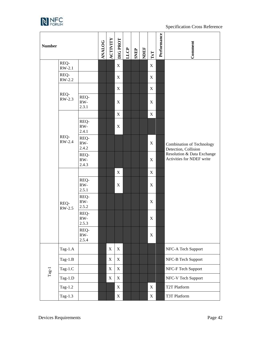

#### Specification Cross Reference

| <b>Number</b> |                |                      | <b>ANALOG</b>                            | ACTIVITY    | DIG PROT                  | LLCP               | <b>SNEP</b> | NDEF | $\mathbf{TxT}$            | Performance | Comment                                                  |
|---------------|----------------|----------------------|------------------------------------------|-------------|---------------------------|--------------------|-------------|------|---------------------------|-------------|----------------------------------------------------------|
|               | REQ-<br>RW-2.1 |                      |                                          |             | $\mathbf X$               |                    |             |      | $\mathbf X$               |             |                                                          |
|               | REQ-<br>RW-2.2 |                      |                                          |             | $\mathbf X$               |                    |             |      | $\boldsymbol{\mathrm{X}}$ |             |                                                          |
|               |                |                      |                                          |             | $\mathbf X$               |                    |             |      | $\mathbf X$               |             |                                                          |
|               | REQ-<br>RW-2.3 | REQ-<br>RW-<br>2.3.1 |                                          |             | $\boldsymbol{\mathrm{X}}$ |                    |             |      | $\mathbf X$               |             |                                                          |
|               |                |                      |                                          |             | $\mathbf X$               |                    |             |      | $\mathbf X$               |             |                                                          |
|               |                | REQ-<br>RW-<br>2.4.1 |                                          |             | $\mathbf X$               |                    |             |      |                           |             |                                                          |
| REQ-<br>REQ-  | RW-2.4         | REQ-<br>RW-<br>2.4.2 |                                          |             |                           |                    |             |      | $\mathbf X$               |             | <b>Combination of Technology</b><br>Detection, Collision |
|               |                | REQ-<br>RW-<br>2.4.3 |                                          |             |                           |                    |             |      | $\mathbf X$               |             | Resolution & Data Exchange<br>Activities for NDEF write  |
|               | RW-2.5         |                      |                                          |             | $\mathbf X$               |                    |             |      | $\mathbf X$               |             |                                                          |
|               |                | REQ-<br>RW-<br>2.5.1 |                                          |             | $\mathbf X$               |                    |             |      | $\mathbf X$               |             |                                                          |
|               |                | REQ-<br>RW-<br>2.5.2 |                                          |             |                           |                    |             |      | $\mathbf X$               |             |                                                          |
|               |                | REQ-<br>RW-<br>2.5.3 |                                          |             |                           |                    |             |      | $\mathbf X$               |             |                                                          |
|               |                | REQ-<br>RW-<br>2.5.4 |                                          |             |                           |                    |             |      | $\mathbf X$               |             |                                                          |
|               | Tag-1.A        |                      | $\boldsymbol{\mathrm{X}}$<br>$\mathbf X$ |             |                           | NFC-A Tech Support |             |      |                           |             |                                                          |
|               | Tag- $1.B$     |                      |                                          | X           | $\mathbf X$               |                    |             |      |                           |             | NFC-B Tech Support                                       |
| $\rm Tag-1$   | Tag-1.C        |                      |                                          | $\mathbf X$ | $\mathbf X$               |                    |             |      |                           |             | NFC-F Tech Support                                       |
|               | Tag-1.D        |                      |                                          | X           | $\mathbf X$               |                    |             |      |                           |             | NFC-V Tech Support                                       |
|               | Tag-1.2        |                      |                                          |             | $\mathbf X$               |                    |             |      | $\mathbf X$               |             | T2T Platform                                             |
|               | Tag-1.3        |                      |                                          |             | $\mathbf X$               |                    |             |      | $\mathbf X$               |             | T3T Platform                                             |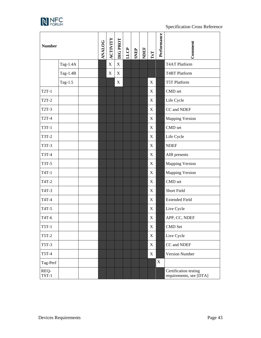

| <b>Number</b>   |          | <b>ANALOG</b> | ACTIVITY    | DIG PROT         | LLCP | <b>SNEP</b> | NDEF | $\mathbf{TxT}$            | Performance | Comment                                          |
|-----------------|----------|---------------|-------------|------------------|------|-------------|------|---------------------------|-------------|--------------------------------------------------|
|                 | Tag-1.4A |               | $\mathbf X$ | X                |      |             |      |                           |             | <b>T4AT Platform</b>                             |
|                 | Tag-1.4B |               | X           | $\boldsymbol{X}$ |      |             |      |                           |             | <b>T4BT</b> Platform                             |
|                 | Tag-1.5  |               |             | X                |      |             |      | X                         |             | T5T Platform                                     |
| $T2T-1$         |          |               |             |                  |      |             |      | X                         |             | CMD set                                          |
| <b>T2T-2</b>    |          |               |             |                  |      |             |      | X                         |             | Life Cycle                                       |
| T2T-3           |          |               |             |                  |      |             |      | X                         |             | CC and NDEF                                      |
| <b>T2T-4</b>    |          |               |             |                  |      |             |      | $\boldsymbol{\mathrm{X}}$ |             | <b>Mapping Version</b>                           |
| T3T-1           |          |               |             |                  |      |             |      | X                         |             | CMD set                                          |
| <b>T3T-2</b>    |          |               |             |                  |      |             |      | $\boldsymbol{\mathrm{X}}$ |             | Life Cycle                                       |
| T3T-3           |          |               |             |                  |      |             |      | X                         |             | <b>NDEF</b>                                      |
| T3T-4           |          |               |             |                  |      |             |      | $\boldsymbol{\mathrm{X}}$ |             | AIB presents                                     |
| T3T-5           |          |               |             |                  |      |             |      | X                         |             | <b>Mapping Version</b>                           |
| T4T-1           |          |               |             |                  |      |             |      | $\mathbf X$               |             | <b>Mapping Version</b>                           |
| T4T-2           |          |               |             |                  |      |             |      | X                         |             | CMD set                                          |
| T4T-3           |          |               |             |                  |      |             |      | $\mathbf X$               |             | Short Field                                      |
| T4T-4           |          |               |             |                  |      |             |      | X                         |             | <b>Extended Field</b>                            |
| T4T-5           |          |               |             |                  |      |             |      | $\mathbf X$               |             | Live Cycle                                       |
| T4T-6           |          |               |             |                  |      |             |      | X                         |             | APP, CC, NDEF                                    |
| $T5T-1$         |          |               |             |                  |      |             |      | $\mathbf X$               |             | CMD Set                                          |
| <b>T5T-2</b>    |          |               |             |                  |      |             |      | $\mathbf X$               |             | Live Cycle                                       |
| <b>T5T-3</b>    |          |               |             |                  |      |             |      | $\mathbf X$               |             | CC and NDEF                                      |
| <b>T5T-4</b>    |          |               |             |                  |      |             |      | X                         |             | <b>Version Number</b>                            |
| Tag-Perf        |          |               |             |                  |      |             |      |                           | $\mathbf X$ |                                                  |
| REQ-<br>$TST-1$ |          |               |             |                  |      |             |      |                           |             | Certification testing<br>requirements, see [DTA] |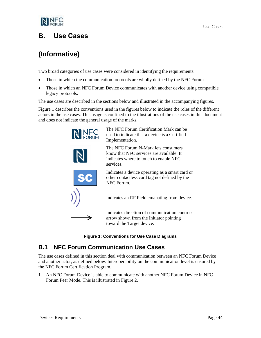

## <span id="page-43-0"></span>**B. Use Cases**

# **(Informative)**

Two broad categories of use cases were considered in identifying the requirements:

- Those in which the communication protocols are wholly defined by the NFC Forum
- Those in which an NFC Forum Device communicates with another device using compatible legacy protocols.

The use cases are described in the sections below and illustrated in the accompanying figures.

[Figure 1](#page-43-2) describes the conventions used in the figures below to indicate the roles of the different actors in the use cases. This usage is confined to the illustrations of the use cases in this document and does not indicate the general usage of the marks.



The NFC Forum Certification Mark can be used to indicate that a device is a Certified Implementation.

The NFC Forum N-Mark lets consumers know that NFC services are available. It indicates where to touch to enable NFC

Indicates a device operating as a smart card or other contactless card tag not defined by the NFC Forum.

Indicates an RF Field emanating from device.

Indicates direction of communication control: arrow shown from the Initiator pointing toward the Target device.

**Figure 1: Conventions for Use Case Diagrams**

## <span id="page-43-2"></span><span id="page-43-1"></span>**B.1 NFC Forum Communication Use Cases**

The use cases defined in this section deal with communication between an NFC Forum Device and another actor, as defined below. Interoperability on the communication level is ensured by the NFC Forum Certification Program.

1. An NFC Forum Device is able to communicate with another NFC Forum Device in NFC Forum Peer Mode. This is illustrated in [Figure 2.](#page-44-0)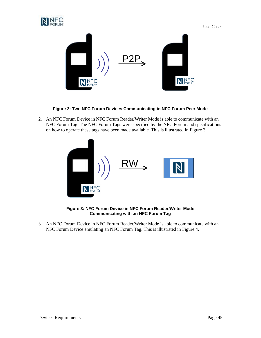



**Figure 2: Two NFC Forum Devices Communicating in NFC Forum Peer Mode**

<span id="page-44-0"></span>2. An NFC Forum Device in NFC Forum Reader/Writer Mode is able to communicate with an NFC Forum Tag. The NFC Forum Tags were specified by the NFC Forum and specifications on how to operate these tags have been made available. This is illustrated in [Figure 3.](#page-44-1)



**Figure 3: NFC Forum Device in NFC Forum Reader/Writer Mode Communicating with an NFC Forum Tag**

<span id="page-44-1"></span>3. An NFC Forum Device in NFC Forum Reader/Writer Mode is able to communicate with an NFC Forum Device emulating an NFC Forum Tag. This is illustrated in [Figure 4.](#page-45-1)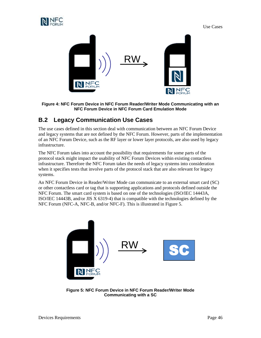

Use Cases



<span id="page-45-1"></span>**Figure 4: NFC Forum Device in NFC Forum Reader/Writer Mode Communicating with an NFC Forum Device in NFC Forum Card Emulation Mode**

## <span id="page-45-0"></span>**B.2 Legacy Communication Use Cases**

The use cases defined in this section deal with communication between an NFC Forum Device and legacy systems that are not defined by the NFC Forum. However, parts of the implementation of an NFC Forum Device, such as the RF layer or lower layer protocols, are also used by legacy infrastructure.

The NFC Forum takes into account the possibility that requirements for some parts of the protocol stack might impact the usability of NFC Forum Devices within existing contactless infrastructure. Therefore the NFC Forum takes the needs of legacy systems into consideration when it specifies tests that involve parts of the protocol stack that are also relevant for legacy systems.

An NFC Forum Device in Reader/Writer Mode can communicate to an external smart card (SC) or other contactless card or tag that is supporting applications and protocols defined outside the NFC Forum. The smart card system is based on one of the technologies (ISO/IEC 14443A, ISO/IEC 14443B, and/or JIS X 6319-4) that is compatible with the technologies defined by the NFC Forum (NFC-A, NFC-B, and/or NFC-F). This is illustrated in [Figure 5.](#page-45-2)

<span id="page-45-2"></span>

**Figure 5: NFC Forum Device in NFC Forum Reader/Writer Mode Communicating with a SC**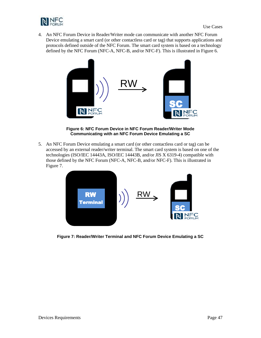

4. An NFC Forum Device in Reader/Writer mode can communicate with another NFC Forum Device emulating a smart card (or other contactless card or tag) that supports applications and protocols defined outside of the NFC Forum. The smart card system is based on a technology defined by the NFC Forum (NFC-A, NFC-B, and/or NFC-F). This is illustrated i[n Figure 6.](#page-46-0)



**Figure 6: NFC Forum Device in NFC Forum Reader/Writer Mode Communicating with an NFC Forum Device Emulating a SC**

<span id="page-46-0"></span>5. An NFC Forum Device emulating a smart card (or other contactless card or tag) can be accessed by an external reader/writer terminal. The smart card system is based on one of the technologies (ISO/IEC 14443A, ISO/IEC 14443B, and/or JIS X 6319-4) compatible with those defined by the NFC Forum (NFC-A, NFC-B, and/or NFC-F). This is illustrated in [Figure 7.](#page-46-1)



<span id="page-46-1"></span>**Figure 7: Reader/Writer Terminal and NFC Forum Device Emulating a SC**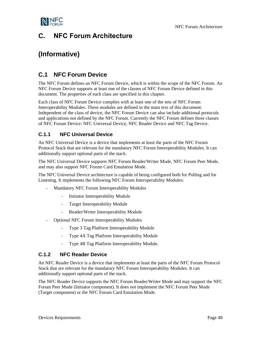

# <span id="page-47-0"></span>**C. NFC Forum Architecture**

# **(Informative)**

## <span id="page-47-1"></span>**C.1 NFC Forum Device**

The NFC Forum defines an NFC Forum Device, which is within the scope of the NFC Forum. An NFC Forum Device supports at least one of the classes of NFC Forum Device defined in this document. The properties of each class are specified in this chapter.

Each class of NFC Forum Device complies with at least one of the sets of NFC Forum Interoperability Modules. These modules are defined in the main text of this document. Independent of the class of device, the NFC Forum Device can also include additional protocols and applications not defined by the NFC Forum. Currently the NFC Forum defines three classes of NFC Forum Device: NFC Universal Device, NFC Reader Device and NFC Tag Device.

#### <span id="page-47-2"></span>**C.1.1 NFC Universal Device**

An NFC Universal Device is a device that implements at least the parts of the NFC Forum Protocol Stack that are relevant for the mandatory NFC Forum Interoperability Modules. It can additionally support optional parts of the stack.

The NFC Universal Device supports NFC Forum Reader/Writer Mode, NFC Forum Peer Mode, and may also support NFC Forum Card Emulation Mode.

The NFC Universal Device architecture is capable of being configured both for Polling and for Listening. It implements the following NFC Forum Interoperability Modules:

- Mandatory NFC Forum Interoperability Modules
	- Initiator Interoperability Module
	- Target Interoperability Module
	- Reader/Writer Interoperability Module
- Optional NFC Forum Interoperability Modules
	- Type 3 Tag Platform Interoperability Module
	- Type 4A Tag Platform Interoperability Module
	- Type 4B Tag Platform Interoperability Module.

#### <span id="page-47-3"></span>**C.1.2 NFC Reader Device**

An NFC Reader Device is a device that implements at least the parts of the NFC Forum Protocol Stack that are relevant for the mandatory NFC Forum Interoperability Modules. It can additionally support optional parts of the stack.

The NFC Reader Device supports the NFC Forum Reader/Writer Mode and may support the NFC Forum Peer Mode (Initiator component). It does not implement the NFC Forum Peer Mode (Target component) or the NFC Forum Card Emulation Mode.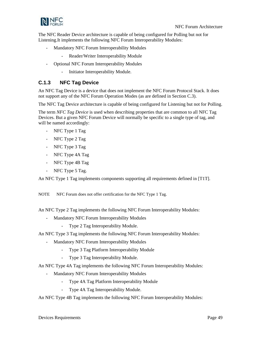

The NFC Reader Device architecture is capable of being configured for Polling but not for Listening.It implements the following NFC Forum Interoperability Modules:

- Mandatory NFC Forum Interoperability Modules
	- Reader/Writer Interoperability Module
- Optional NFC Forum Interoperability Modules
	- Initiator Interoperability Module.

#### <span id="page-48-0"></span>**C.1.3 NFC Tag Device**

An NFC Tag Device is a device that does not implement the NFC Forum Protocol Stack. It does not support any of the NFC Forum Operation Modes (as are defined in Section [C.3\)](#page-52-0).

The NFC Tag Device architecture is capable of being configured for Listening but not for Polling.

The term *NFC Tag Device* is used when describing properties that are common to all NFC Tag Devices. But a given NFC Forum Device will normally be specific to a single type of tag, and will be named accordingly:

- NFC Type 1 Tag
- NFC Type 2 Tag
- NFC Type 3 Tag
- NFC Type 4A Tag
- NFC Type 4B Tag
- NFC Type 5 Tag.

An NFC Type 1 Tag implements components supporting all requirements defined in [\[T1T\].](#page-5-6)

NOTE NFC Forum does not offer certification for the NFC Type 1 Tag.

An NFC Type 2 Tag implements the following NFC Forum Interoperability Modules:

- Mandatory NFC Forum Interoperability Modules
	- Type 2 Tag Interoperability Module.

An NFC Type 3 Tag implements the following NFC Forum Interoperability Modules:

- Mandatory NFC Forum Interoperability Modules
	- Type 3 Tag Platform Interoperability Module
	- Type 3 Tag Interoperability Module.

An NFC Type 4A Tag implements the following NFC Forum Interoperability Modules:

- Mandatory NFC Forum Interoperability Modules
	- Type 4A Tag Platform Interoperability Module
	- Type 4A Tag Interoperability Module.
- An NFC Type 4B Tag implements the following NFC Forum Interoperability Modules: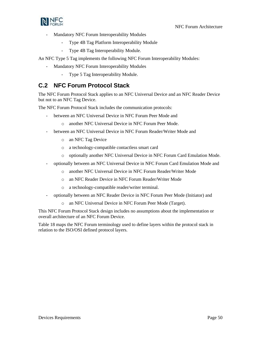

- Mandatory NFC Forum Interoperability Modules
	- Type 4B Tag Platform Interoperability Module
	- Type 4B Tag Interoperability Module.

An NFC Type 5 Tag implements the following NFC Forum Interoperability Modules:

- Mandatory NFC Forum Interoperability Modules
	- Type 5 Tag Interoperability Module.

### <span id="page-49-0"></span>**C.2 NFC Forum Protocol Stack**

The NFC Forum Protocol Stack applies to an NFC Universal Device and an NFC Reader Device but not to an NFC Tag Device.

The NFC Forum Protocol Stack includes the communication protocols:

- between an NFC Universal Device in NFC Forum Peer Mode and
	- o another NFC Universal Device in NFC Forum Peer Mode.
- between an NFC Universal Device in NFC Forum Reader/Writer Mode and
	- o an NFC Tag Device
	- o a technology-compatible contactless smart card
	- o optionally another NFC Universal Device in NFC Forum Card Emulation Mode.
- optionally between an NFC Universal Device in NFC Forum Card Emulation Mode and
	- o another NFC Universal Device in NFC Forum Reader/Writer Mode
	- o an NFC Reader Device in NFC Forum Reader/Writer Mode
	- o a technology-compatible reader/writer terminal.
- optionally between an NFC Reader Device in NFC Forum Peer Mode (Initiator) and
	- o an NFC Universal Device in NFC Forum Peer Mode (Target).

This NFC Forum Protocol Stack design includes no assumptions about the implementation or overall architecture of an NFC Forum Device.

[Table 18](#page-50-1) maps the NFC Forum terminology used to define layers within the protocol stack in relation to the ISO/OSI defined protocol layers.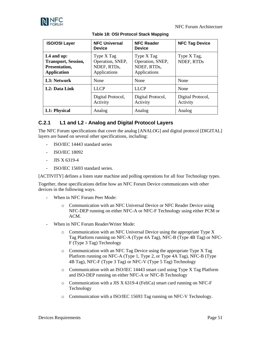

<span id="page-50-1"></span>

| <b>ISO/OSI Layer</b>                                                                        | <b>NFC Universal</b><br><b>Device</b>                         | <b>NFC Reader</b><br><b>Device</b>                            | <b>NFC Tag Device</b>         |
|---------------------------------------------------------------------------------------------|---------------------------------------------------------------|---------------------------------------------------------------|-------------------------------|
| L <sub>4</sub> and up:<br><b>Transport, Session,</b><br>Presentation,<br><b>Application</b> | Type X Tag<br>Operation, SNEP,<br>NDEF, RTDs,<br>Applications | Type X Tag<br>Operation, SNEP,<br>NDEF, RTDs,<br>Applications | Type X Tag,<br>NDEF, RTDs     |
| L3: Network                                                                                 | None                                                          | None                                                          | None                          |
| L <sub>2</sub> : Data Link                                                                  | <b>LLCP</b>                                                   | <b>LLCP</b>                                                   | None                          |
|                                                                                             | Digital Protocol,<br>Activity                                 | Digital Protocol,<br>Activity                                 | Digital Protocol,<br>Activity |
| L1: Physical                                                                                | Analog                                                        | Analog                                                        | Analog                        |

#### **Table 18: OSI Protocol Stack Mapping**

### <span id="page-50-0"></span>**C.2.1 L1 and L2 - Analog and Digital Protocol Layers**

The NFC Forum specifications that cover the analog [\[ANALOG\]](#page-4-10) and digital protocol [\[DIGITAL\]](#page-4-7) layers are based on several other specifications, including:

- ISO/IEC 14443 standard series
- ISO/IEC 18092
- JIS X 6319-4
- ISO/IEC 15693 standard series.

[\[ACTIVITY\]](#page-4-8) defines a listen state machine and polling operations for all four Technology types.

Together, these specifications define how an NFC Forum Device communicates with other devices in the following ways.

- When in NFC Forum Peer Mode:
	- o Communication with an NFC Universal Device or NFC Reader Device using NFC-DEP running on either NFC-A or NFC-F Technology using either PCM or ACM.
- When in NFC Forum Reader/Writer Mode:
	- o Communication with an NFC Universal Device using the appropriate Type X Tag Platform running on NFC-A (Type 4A Tag), NFC-B (Type 4B Tag) or NFC-F (Type 3 Tag) Technology
	- o Communication with an NFC Tag Device using the appropriate Type X Tag Platform running on NFC-A (Type 1, Type 2, or Type 4A Tag), NFC-B (Type 4B Tag), NFC-F (Type 3 Tag) or NFC-V (Type 5 Tag) Technology
	- o Communication with an ISO/IEC 14443 smart card using Type X Tag Platform and ISO-DEP running on either NFC-A or NFC-B Technology
	- o Communication with a JIS X 6319-4 (FeliCa) smart card running on NFC-F Technology
	- o Communication with a ISO/IEC 15693 Tag running on NFC-V Technology.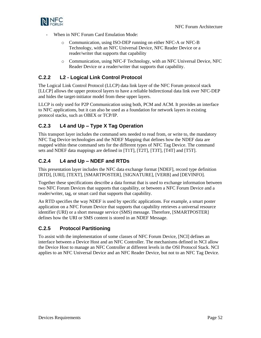

- When in NFC Forum Card Emulation Mode:
	- o Communication, using ISO-DEP running on either NFC-A or NFC-B Technology, with an NFC Universal Device, NFC Reader Device or a reader/writer that supports that capability
	- o Communication, using NFC-F Technology, with an NFC Universal Device, NFC Reader Device or a reader/writer that supports that capability.

### <span id="page-51-0"></span>**C.2.2 L2 - Logical Link Control Protocol**

The Logical Link Control Protocol (LLCP) data link layer of the NFC Forum protocol stack [\[LLCP\]](#page-4-3) allows the upper protocol layers to have a reliable bidirectional data link over NFC-DEP and hides the target-initiator model from these upper layers.

LLCP is only used for P2P Communication using both, PCM and ACM. It provides an interface to NFC applications, but it can also be used as a foundation for network layers in existing protocol stacks, such as OBEX or TCP/IP.

### <span id="page-51-1"></span>**C.2.3 L4 and Up – Type X Tag Operation**

This transport layer includes the command sets needed to read from, or write to, the mandatory NFC Tag Device technologies and the NDEF Mapping that defines how the NDEF data are mapped within these command sets for the different types of NFC Tag Device. The command sets and NDEF data mappings are defined in [\[T1T\],](#page-5-6) [\[T2T\],](#page-5-1) [\[T3T\],](#page-5-2) [\[T4T\]](#page-5-3) and [\[T5T\].](#page-5-4)

### <span id="page-51-2"></span>**C.2.4 L4 and Up – NDEF and RTDs**

This presentation layer includes the NFC data exchange format [\[NDEF\],](#page-4-4) record type definition [\[RTD\],](#page-5-8) [\[URI\],](#page-5-9) [\[TEXT\],](#page-5-10) [\[SMARTPOSTER\],](#page-5-11) [\[SIGNATURE\],](#page-5-12) [\[VERB\]](#page-6-3) and [\[DEVINFO\].](#page-4-11)

Together these specifications describe a data format that is used to exchange information between two NFC Forum Devices that supports that capability, or between a NFC Forum Device and a reader/writer, tag, or smart card that supports that capability.

An RTD specifies the way NDEF is used by specific applications. For example, a smart poster application on a NFC Forum Device that supports that capability retrieves a universal resource identifier (URI) or a short message service (SMS) message. Therefore, [\[SMARTPOSTER\]](#page-5-11) defines how the URI or SMS content is stored in an NDEF Message.

### <span id="page-51-3"></span>**C.2.5 Protocol Partitioning**

To assist with the implementation of some classes of NFC Forum Device, [\[NCI\]](#page-4-12) defines an interface between a Device Host and an NFC Controller. The mechanisms defined in NCI allow the Device Host to manage an NFC Controller at different levels in the OSI Protocol Stack. NCI applies to an NFC Universal Device and an NFC Reader Device, but not to an NFC Tag Device.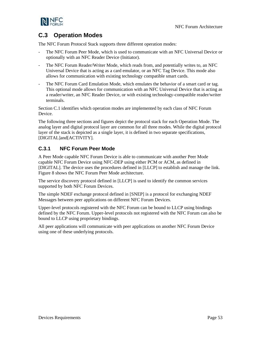

## <span id="page-52-0"></span>**C.3 Operation Modes**

The NFC Forum Protocol Stack supports three different operation modes:

- The NFC Forum Peer Mode, which is used to communicate with an NFC Universal Device or optionally with an NFC Reader Device (Initiator).
- The NFC Forum Reader/Writer Mode, which reads from, and potentially writes to, an NFC Universal Device that is acting as a card emulator, or an NFC Tag Device. This mode also allows for communication with existing technology compatible smart cards.
- The NFC Forum Card Emulation Mode, which emulates the behavior of a smart card or tag. This optional mode allows for communication with an NFC Universal Device that is acting as a reader/writer, an NFC Reader Device, or with existing technology-compatible reader/writer terminals.

Sectio[n C.1](#page-47-1) identifies which operation modes are implemented by each class of NFC Forum Device.

The following three sections and figures depict the protocol stack for each Operation Mode. The analog layer and digital protocol layer are common for all three modes. While the digital protocol layer of the stack is depicted as a single layer, it is defined in two separate specifications, [\[DIGITAL\]a](#page-4-7)n[d\[ACTIVITY\].](#page-4-8)

#### <span id="page-52-1"></span>**C.3.1 NFC Forum Peer Mode**

A Peer Mode capable NFC Forum Device is able to communicate with another Peer Mode capable NFC Forum Device using NFC-DEP using either PCM or ACM, as defined in [\[DIGITAL\].](#page-4-7) The device uses the procedures defined in [\[LLCP\]](#page-4-3) to establish and manage the link. [Figure 8](#page-53-1) shows the NFC Forum Peer Mode architecture.

The service discovery protocol defined i[n \[LLCP\]](#page-4-3) is used to identify the common services supported by both NFC Forum Devices.

The simple NDEF exchange protocol defined in [\[SNEP\]](#page-5-5) is a protocol for exchanging NDEF Messages between peer applications on different NFC Forum Devices.

Upper-level protocols registered with the NFC Forum can be bound to LLCP using bindings defined by the NFC Forum. Upper-level protocols not registered with the NFC Forum can also be bound to LLCP using proprietary bindings.

All peer applications will communicate with peer applications on another NFC Forum Device using one of these underlying protocols.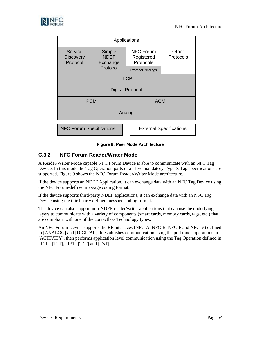

| Applications                            |                                   |                                             |                                |  |  |  |
|-----------------------------------------|-----------------------------------|---------------------------------------------|--------------------------------|--|--|--|
| Service<br><b>Discovery</b><br>Protocol | Simple<br><b>NDEF</b><br>Exchange | <b>NFC Forum</b><br>Registered<br>Protocols | Other<br>Protocols             |  |  |  |
|                                         | Protocol                          | <b>Protocol Bindings</b>                    |                                |  |  |  |
| <b>LLCP</b>                             |                                   |                                             |                                |  |  |  |
| <b>Digital Protocol</b>                 |                                   |                                             |                                |  |  |  |
| <b>PCM</b>                              | <b>ACM</b>                        |                                             |                                |  |  |  |
| Analog                                  |                                   |                                             |                                |  |  |  |
| <b>NFC Forum Specifications</b>         |                                   |                                             | <b>External Specifications</b> |  |  |  |

#### **Figure 8: Peer Mode Architecture**

#### <span id="page-53-1"></span><span id="page-53-0"></span>**C.3.2 NFC Forum Reader/Writer Mode**

A Reader/Writer Mode capable NFC Forum Device is able to communicate with an NFC Tag Device. In this mode the Tag Operation parts of all five mandatory Type X Tag specifications are supported. [Figure 9](#page-54-1) shows the NFC Forum Reader/Writer Mode architecture.

If the device supports an NDEF Application, it can exchange data with an NFC Tag Device using the NFC Forum-defined message coding format.

If the device supports third-party NDEF applications, it can exchange data with an NFC Tag Device using the third-party defined message coding format.

The device can also support non-NDEF reader/writer applications that can use the underlying layers to communicate with a variety of components (smart cards, memory cards, tags, etc.) that are compliant with one of the contactless Technology types.

An NFC Forum Device supports the RF interfaces (NFC-A, NFC-B, NFC-F and NFC-V) defined in [\[ANALOG\]](#page-4-10) and [\[DIGITAL\].](#page-4-7) It establishes communication using the poll mode operations in [\[ACTIVITY\],](#page-4-8) then performs application level communication using the Tag Operation defined in [\[T1T\],](#page-5-6) [\[T2T\],](#page-5-1) [\[T3T\]](#page-5-2)[,\[T4T\]](#page-5-3) and [\[T5T\].](#page-5-4)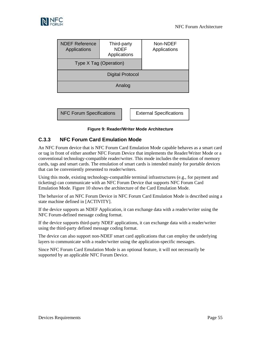

| <b>NDEF Reference</b><br>Applications | Third-party<br><b>NDEF</b><br>Applications | Non-NDEF<br>Applications |  |
|---------------------------------------|--------------------------------------------|--------------------------|--|
| Type X Tag (Operation)                |                                            |                          |  |
|                                       |                                            |                          |  |
|                                       |                                            |                          |  |
|                                       |                                            |                          |  |

NFC Forum Specifications | | External Specifications

#### **Figure 9: Reader/Writer Mode Architecture**

#### <span id="page-54-1"></span><span id="page-54-0"></span>**C.3.3 NFC Forum Card Emulation Mode**

An NFC Forum device that is NFC Forum Card Emulation Mode capable behaves as a smart card or tag in front of either another NFC Forum Device that implements the Reader/Writer Mode or a conventional technology-compatible reader/writer. This mode includes the emulation of memory cards, tags and smart cards. The emulation of smart cards is intended mainly for portable devices that can be conveniently presented to reader/writers.

Using this mode, existing technology-compatible terminal infrastructures (e.g., for payment and ticketing) can communicate with an NFC Forum Device that supports NFC Forum Card Emulation Mode[. Figure 10](#page-55-1) shows the architecture of the Card Emulation Mode.

The behavior of an NFC Forum Device in NFC Forum Card Emulation Mode is described using a state machine defined in [\[ACTIVITY\].](#page-4-8)

If the device supports an NDEF Application, it can exchange data with a reader/writer using the NFC Forum-defined message coding format.

If the device supports third-party NDEF applications, it can exchange data with a reader/writer using the third-party defined message coding format.

The device can also support non-NDEF smart card applications that can employ the underlying layers to communicate with a reader/writer using the application-specific messages.

Since NFC Forum Card Emulation Mode is an optional feature, it will not necessarily be supported by an applicable NFC Forum Device.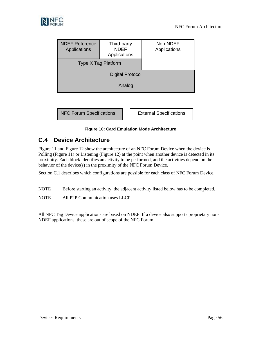

| <b>NDEF Reference</b><br>Applications | Third-party<br><b>NDEF</b><br>Applications | Non-NDEF<br>Applications |
|---------------------------------------|--------------------------------------------|--------------------------|
| Type X Tag Platform                   |                                            |                          |
|                                       |                                            |                          |
|                                       |                                            |                          |
|                                       |                                            |                          |

NFC Forum Specifications | | External Specifications

#### **Figure 10: Card Emulation Mode Architecture**

## <span id="page-55-1"></span><span id="page-55-0"></span>**C.4 Device Architecture**

[Figure 11](#page-56-1) and [Figure 12](#page-57-1) show the architecture of an NFC Forum Device when the device is Polling [\(Figure 11\)](#page-56-1) or Listening [\(Figure 12\)](#page-57-1) at the point when another device is detected in its proximity. Each block identifies an activity to be performed, and the activities depend on the behavior of the device(s) in the proximity of the NFC Forum Device.

Sectio[n C.1](#page-47-1) describes which configurations are possible for each class of NFC Forum Device.

NOTE Before starting an activity, the adjacent activity listed below has to be completed.

NOTE All P2P Communication uses LLCP.

All NFC Tag Device applications are based on NDEF. If a device also supports proprietary non-NDEF applications, these are out of scope of the NFC Forum.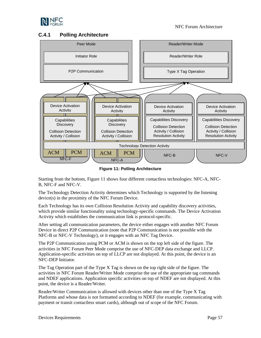

### <span id="page-56-0"></span>**C.4.1 Polling Architecture**



**Figure 11: Polling Architecture**

<span id="page-56-1"></span>Starting from the bottom, [Figure 11](#page-56-1) shows four different contactless technologies: NFC-A, NFC-B, NFC-F and NFC-V.

The Technology Detection Activity determines which Technology is supported by the listening device(s) in the proximity of the NFC Forum Device.

Each Technology has its own Collision Resolution Activity and capability discovery activities, which provide similar functionality using technology-specific commands. The Device Activation Activity which establishes the communication link is protocol-specific.

After setting all communication parameters, the device either engages with another NFC Forum Device in direct P2P Communication (note that P2P Communication is not possible with the NFC-B or NFC-V Technology), or it engages with an NFC Tag Device.

The P2P Communication using PCM or ACM is shown on the top left side of the figure. The activities in NFC Forum Peer Mode comprise the use of NFC-DEP data exchange and LLCP. Application-specific activities on top of LLCP are not displayed. At this point, the device is an NFC-DEP Initiator.

The Tag Operation part of the Type X Tag is shown on the top right side of the figure. The activities in NFC Forum Reader/Writer Mode comprise the use of the appropriate tag commands and NDEF applications. Application specific activities on top of NDEF are not displayed. At this point, the device is a Reader/Writer.

Reader/Writer Communication is allowed with devices other than one of the Type X Tag Platforms and whose data is not formatted according to NDEF (for example, communicating with payment or transit contactless smart cards), although out of scope of the NFC Forum.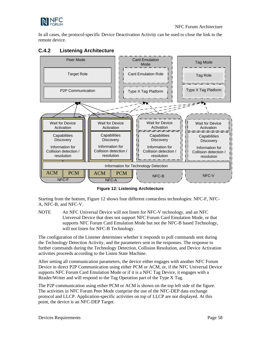

In all cases, the protocol-specific Device Deactivation Activity can be used to close the link to the remote device.

## <span id="page-57-0"></span>**C.4.2 Listening Architecture**



**Figure 12: Listening Architecture** 

<span id="page-57-1"></span>Starting from the bottom, [Figure 12](#page-57-1) shows four different contactless technologies: NFC-F, NFC-A, NFC-B, and NFC-V.

NOTE An NFC Universal Device will not listen for NFC-V technology, and an NFC Universal Device that does not support NFC Forum Card Emulation Mode, or that supports NFC Forum Card Emulation Mode but not the NFC-B based Technology, will not listen for NFC-B Technology.

The configuration of the Listener determines whether it responds to poll commands sent during the Technology Detection Activity, and the parameters sent in the responses. The response to further commands during the Technology Detection, Collision Resolution, and Device Activation activities proceeds according to the Listen State Machine.

After setting all communication parameters, the device either engages with another NFC Forum Device in direct P2P Communication using either PCM or ACM, or, if the NFC Universal Device supports NFC Forum Card Emulation Mode or if it is a NFC Tag Device, it engages with a Reader/Writer and will respond to the Tag Operation part of the Type X Tag.

The P2P communication using either PCM or ACM is shown on the top left side of the figure. The activities in NFC Forum Peer Mode comprise the use of the NFC-DEP data exchange protocol and LLCP. Application-specific activities on top of LLCP are not displayed. At this point, the device is an NFC-DEP Target.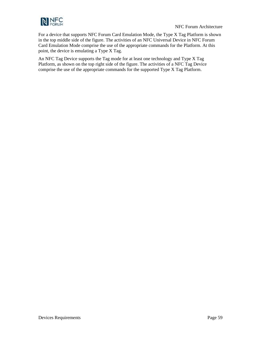

For a device that supports NFC Forum Card Emulation Mode, the Type X Tag Platform is shown in the top middle side of the figure. The activities of an NFC Universal Device in NFC Forum Card Emulation Mode comprise the use of the appropriate commands for the Platform. At this point, the device is emulating a Type X Tag.

An NFC Tag Device supports the Tag mode for at least one technology and Type X Tag Platform, as shown on the top right side of the figure. The activities of a NFC Tag Device comprise the use of the appropriate commands for the supported Type X Tag Platform.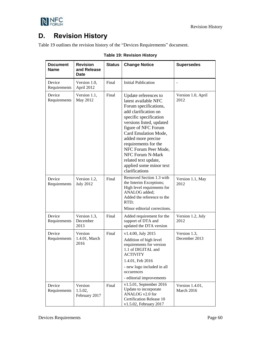

# <span id="page-59-0"></span>**D. Revision History**

<span id="page-59-1"></span>[Table 19](#page-59-1) outlines the revision history of the "Devices Requirements" document.

| <b>Document</b><br><b>Name</b> | <b>Revision</b><br>and Release<br>Date | <b>Status</b> | <b>Change Notice</b>                                                                                                                                                                                                                                                                                                                                              | <b>Supersedes</b>             |
|--------------------------------|----------------------------------------|---------------|-------------------------------------------------------------------------------------------------------------------------------------------------------------------------------------------------------------------------------------------------------------------------------------------------------------------------------------------------------------------|-------------------------------|
| Device<br>Requirements         | Version 1.0,<br>April 2012             | Final         | <b>Initial Publication</b>                                                                                                                                                                                                                                                                                                                                        |                               |
| Device<br>Requirements         | Version 1.1,<br>May 2012               | Final         | Update references to<br>latest available NFC<br>Forum specifications,<br>add clarification on<br>specific specification<br>versions listed, updated<br>figure of NFC Forum<br>Card Emulation Mode,<br>added more precise<br>requirements for the<br>NFC Forum Peer Mode,<br>NFC Forum N-Mark<br>related text update,<br>applied some minor text<br>clarifications | Version 1.0, April<br>2012    |
| Device<br>Requirements         | Version 1.2,<br><b>July 2012</b>       | Final         | Removed Section 1.3 with<br>the Interim Exceptions;<br>High level requirments for<br>ANALOG added;<br>Added the reference to the<br>RTD;<br>Minor editorial corrections.                                                                                                                                                                                          | Version 1.1, May<br>2012      |
| Device<br>Requirements         | Version 1.3,<br>December<br>2013       | Final         | Added requirement for the<br>support of DTA and<br>updated the DTA version                                                                                                                                                                                                                                                                                        | Version 1.2, July<br>2012     |
| Device<br>Requirements         | Version<br>1.4.01, March<br>2016       | Final         | v1.4.00, July 2015<br>Addition of high level<br>requirements for version<br>1.1 of DIGITAL and<br><b>ACTIVITY</b><br>1.4.01, Feb 2016<br>- new logo included in all<br>occurences<br>- editorial improvements                                                                                                                                                     | Version 1.3,<br>December 2013 |
| Device<br>Requirements         | Version<br>1.5.02,<br>February 2017    | Final         | v1.5.01, September 2016<br>Update to incorporate<br>ANALOG v2.0 for<br>Certification Release 10<br>v1.5.02, February 2017                                                                                                                                                                                                                                         | Version 1.4.01,<br>March 2016 |

#### **Table 19: Revision History**